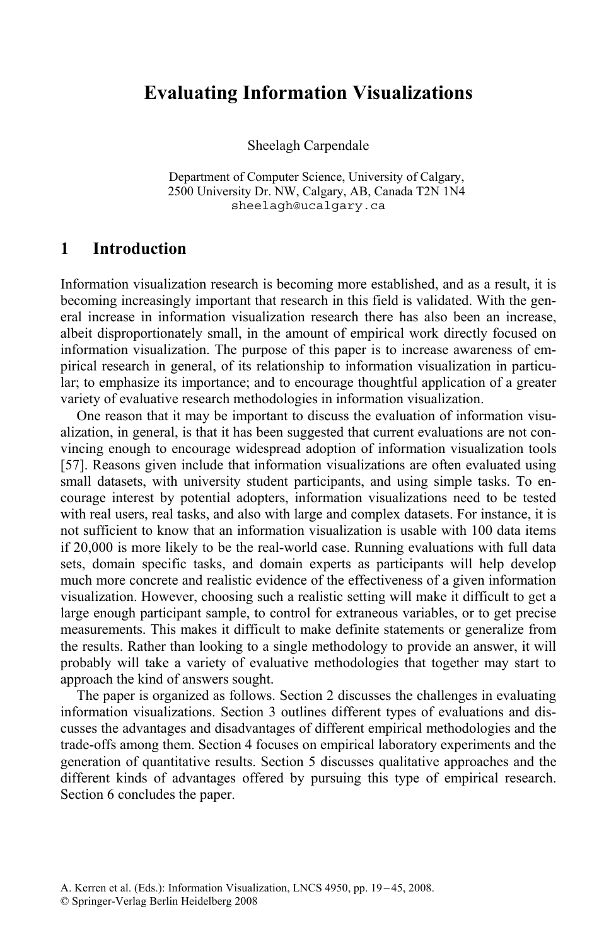# **Evaluating Information Visualizations**

Sheelagh Carpendale

Department of Computer Science, University of Calgary, 2500 University Dr. NW, Calgary, AB, Canada T2N 1N4 sheelagh@ucalgary.ca

### **1 Introduction**

Information visualization research is becoming more established, and as a result, it is becoming increasingly important that research in this field is validated. With the general increase in information visualization research there has also been an increase, albeit disproportionately small, in the amount of empirical work directly focused on information visualization. The purpose of this paper is to increase awareness of empirical research in general, of its relationship to information visualization in particular; to emphasize its importance; and to encourage thoughtful application of a greater variety of evaluative research methodologies in information visualization.

One reason that it may be important to discuss the evaluation of information visualization, in general, is that it has been suggested that current evaluations are not convincing enough to encourage widespread adoption of information visualization tools [57]. Reasons given include that information visualizations are often evaluated using small datasets, with university student participants, and using simple tasks. To encourage interest by potential adopters, information visualizations need to be tested with real users, real tasks, and also with large and complex datasets. For instance, it is not sufficient to know that an information visualization is usable with 100 data items if 20,000 is more likely to be the real-world case. Running evaluations with full data sets, domain specific tasks, and domain experts as participants will help develop much more concrete and realistic evidence of the effectiveness of a given information visualization. However, choosing such a realistic setting will make it difficult to get a large enough participant sample, to control for extraneous variables, or to get precise measurements. This makes it difficult to make definite statements or generalize from the results. Rather than looking to a single methodology to provide an answer, it will probably will take a variety of evaluative methodologies that together may start to approach the kind of answers sought.

The paper is organized as follows. Section 2 discusses the challenges in evaluating information visualizations. Section 3 outlines different types of evaluations and discusses the advantages and disadvantages of different empirical methodologies and the trade-offs among them. Section 4 focuses on empirical laboratory experiments and the generation of quantitative results. Section 5 discusses qualitative approaches and the different kinds of advantages offered by pursuing this type of empirical research. Section 6 concludes the paper.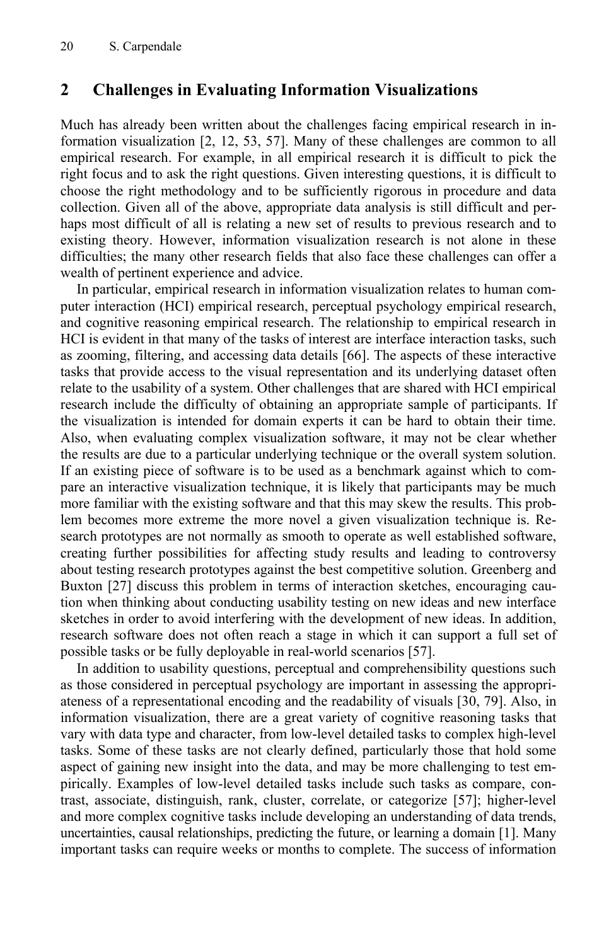## **2 Challenges in Evaluating Information Visualizations**

Much has already been written about the challenges facing empirical research in information visualization [2, 12, 53, 57]. Many of these challenges are common to all empirical research. For example, in all empirical research it is difficult to pick the right focus and to ask the right questions. Given interesting questions, it is difficult to choose the right methodology and to be sufficiently rigorous in procedure and data collection. Given all of the above, appropriate data analysis is still difficult and perhaps most difficult of all is relating a new set of results to previous research and to existing theory. However, information visualization research is not alone in these difficulties; the many other research fields that also face these challenges can offer a wealth of pertinent experience and advice.

In particular, empirical research in information visualization relates to human computer interaction (HCI) empirical research, perceptual psychology empirical research, and cognitive reasoning empirical research. The relationship to empirical research in HCI is evident in that many of the tasks of interest are interface interaction tasks, such as zooming, filtering, and accessing data details [66]. The aspects of these interactive tasks that provide access to the visual representation and its underlying dataset often relate to the usability of a system. Other challenges that are shared with HCI empirical research include the difficulty of obtaining an appropriate sample of participants. If the visualization is intended for domain experts it can be hard to obtain their time. Also, when evaluating complex visualization software, it may not be clear whether the results are due to a particular underlying technique or the overall system solution. If an existing piece of software is to be used as a benchmark against which to compare an interactive visualization technique, it is likely that participants may be much more familiar with the existing software and that this may skew the results. This problem becomes more extreme the more novel a given visualization technique is. Research prototypes are not normally as smooth to operate as well established software, creating further possibilities for affecting study results and leading to controversy about testing research prototypes against the best competitive solution. Greenberg and Buxton [27] discuss this problem in terms of interaction sketches, encouraging caution when thinking about conducting usability testing on new ideas and new interface sketches in order to avoid interfering with the development of new ideas. In addition, research software does not often reach a stage in which it can support a full set of possible tasks or be fully deployable in real-world scenarios [57].

In addition to usability questions, perceptual and comprehensibility questions such as those considered in perceptual psychology are important in assessing the appropriateness of a representational encoding and the readability of visuals [30, 79]. Also, in information visualization, there are a great variety of cognitive reasoning tasks that vary with data type and character, from low-level detailed tasks to complex high-level tasks. Some of these tasks are not clearly defined, particularly those that hold some aspect of gaining new insight into the data, and may be more challenging to test empirically. Examples of low-level detailed tasks include such tasks as compare, contrast, associate, distinguish, rank, cluster, correlate, or categorize [57]; higher-level and more complex cognitive tasks include developing an understanding of data trends, uncertainties, causal relationships, predicting the future, or learning a domain [1]. Many important tasks can require weeks or months to complete. The success of information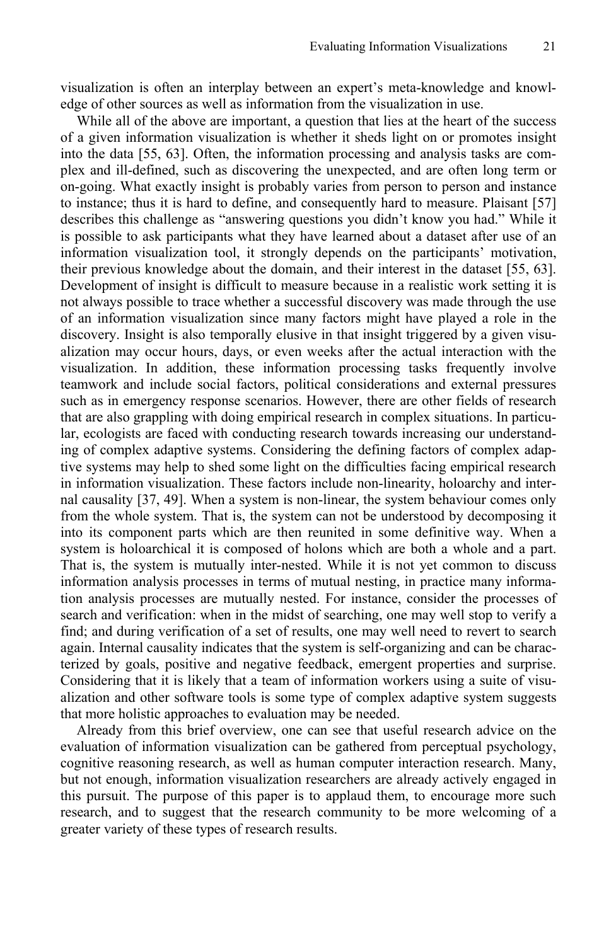visualization is often an interplay between an expert's meta-knowledge and knowledge of other sources as well as information from the visualization in use.

While all of the above are important, a question that lies at the heart of the success of a given information visualization is whether it sheds light on or promotes insight into the data [55, 63]. Often, the information processing and analysis tasks are complex and ill-defined, such as discovering the unexpected, and are often long term or on-going. What exactly insight is probably varies from person to person and instance to instance; thus it is hard to define, and consequently hard to measure. Plaisant [57] describes this challenge as "answering questions you didn't know you had." While it is possible to ask participants what they have learned about a dataset after use of an information visualization tool, it strongly depends on the participants' motivation, their previous knowledge about the domain, and their interest in the dataset [55, 63]. Development of insight is difficult to measure because in a realistic work setting it is not always possible to trace whether a successful discovery was made through the use of an information visualization since many factors might have played a role in the discovery. Insight is also temporally elusive in that insight triggered by a given visualization may occur hours, days, or even weeks after the actual interaction with the visualization. In addition, these information processing tasks frequently involve teamwork and include social factors, political considerations and external pressures such as in emergency response scenarios. However, there are other fields of research that are also grappling with doing empirical research in complex situations. In particular, ecologists are faced with conducting research towards increasing our understanding of complex adaptive systems. Considering the defining factors of complex adaptive systems may help to shed some light on the difficulties facing empirical research in information visualization. These factors include non-linearity, holoarchy and internal causality [37, 49]. When a system is non-linear, the system behaviour comes only from the whole system. That is, the system can not be understood by decomposing it into its component parts which are then reunited in some definitive way. When a system is holoarchical it is composed of holons which are both a whole and a part. That is, the system is mutually inter-nested. While it is not yet common to discuss information analysis processes in terms of mutual nesting, in practice many information analysis processes are mutually nested. For instance, consider the processes of search and verification: when in the midst of searching, one may well stop to verify a find; and during verification of a set of results, one may well need to revert to search again. Internal causality indicates that the system is self-organizing and can be characterized by goals, positive and negative feedback, emergent properties and surprise. Considering that it is likely that a team of information workers using a suite of visualization and other software tools is some type of complex adaptive system suggests that more holistic approaches to evaluation may be needed.

Already from this brief overview, one can see that useful research advice on the evaluation of information visualization can be gathered from perceptual psychology, cognitive reasoning research, as well as human computer interaction research. Many, but not enough, information visualization researchers are already actively engaged in this pursuit. The purpose of this paper is to applaud them, to encourage more such research, and to suggest that the research community to be more welcoming of a greater variety of these types of research results.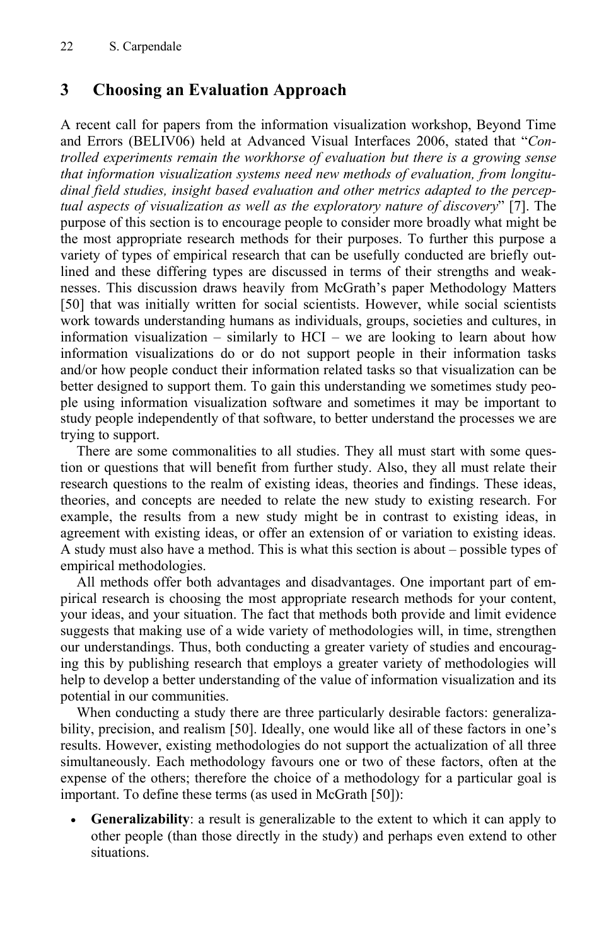## **3 Choosing an Evaluation Approach**

A recent call for papers from the information visualization workshop, Beyond Time and Errors (BELIV06) held at Advanced Visual Interfaces 2006, stated that "*Controlled experiments remain the workhorse of evaluation but there is a growing sense that information visualization systems need new methods of evaluation, from longitudinal field studies, insight based evaluation and other metrics adapted to the perceptual aspects of visualization as well as the exploratory nature of discovery*" [7]. The purpose of this section is to encourage people to consider more broadly what might be the most appropriate research methods for their purposes. To further this purpose a variety of types of empirical research that can be usefully conducted are briefly outlined and these differing types are discussed in terms of their strengths and weaknesses. This discussion draws heavily from McGrath's paper Methodology Matters [50] that was initially written for social scientists. However, while social scientists work towards understanding humans as individuals, groups, societies and cultures, in information visualization – similarly to HCI – we are looking to learn about how information visualizations do or do not support people in their information tasks and/or how people conduct their information related tasks so that visualization can be better designed to support them. To gain this understanding we sometimes study people using information visualization software and sometimes it may be important to study people independently of that software, to better understand the processes we are trying to support.

There are some commonalities to all studies. They all must start with some question or questions that will benefit from further study. Also, they all must relate their research questions to the realm of existing ideas, theories and findings. These ideas, theories, and concepts are needed to relate the new study to existing research. For example, the results from a new study might be in contrast to existing ideas, in agreement with existing ideas, or offer an extension of or variation to existing ideas. A study must also have a method. This is what this section is about – possible types of empirical methodologies.

All methods offer both advantages and disadvantages. One important part of empirical research is choosing the most appropriate research methods for your content, your ideas, and your situation. The fact that methods both provide and limit evidence suggests that making use of a wide variety of methodologies will, in time, strengthen our understandings. Thus, both conducting a greater variety of studies and encouraging this by publishing research that employs a greater variety of methodologies will help to develop a better understanding of the value of information visualization and its potential in our communities.

When conducting a study there are three particularly desirable factors: generalizability, precision, and realism [50]. Ideally, one would like all of these factors in one's results. However, existing methodologies do not support the actualization of all three simultaneously. Each methodology favours one or two of these factors, often at the expense of the others; therefore the choice of a methodology for a particular goal is important. To define these terms (as used in McGrath [50]):

• **Generalizability**: a result is generalizable to the extent to which it can apply to other people (than those directly in the study) and perhaps even extend to other situations.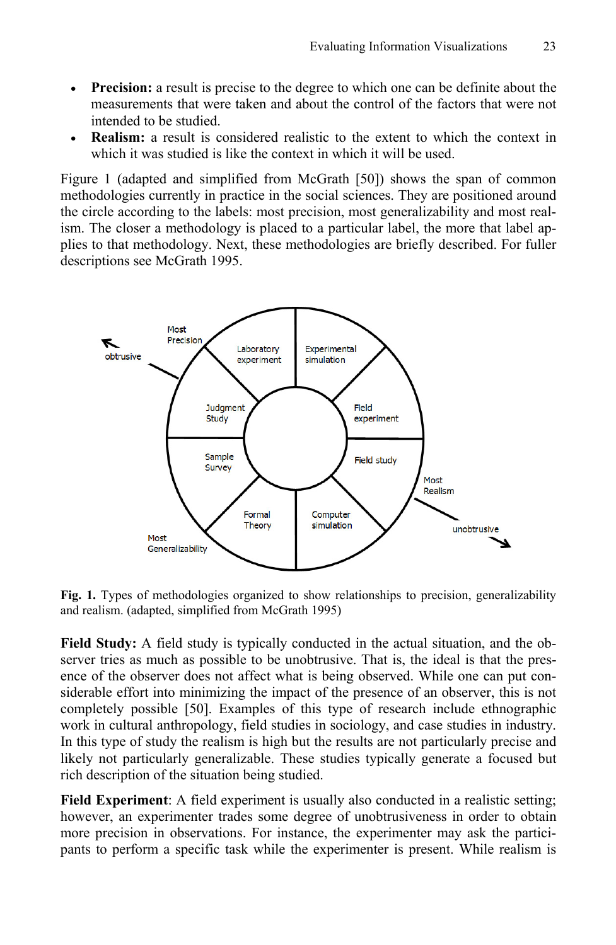- **Precision:** a result is precise to the degree to which one can be definite about the measurements that were taken and about the control of the factors that were not intended to be studied.
- **Realism:** a result is considered realistic to the extent to which the context in which it was studied is like the context in which it will be used.

Figure 1 (adapted and simplified from McGrath [50]) shows the span of common methodologies currently in practice in the social sciences. They are positioned around the circle according to the labels: most precision, most generalizability and most realism. The closer a methodology is placed to a particular label, the more that label applies to that methodology. Next, these methodologies are briefly described. For fuller descriptions see McGrath 1995.



**Fig. 1.** Types of methodologies organized to show relationships to precision, generalizability and realism. (adapted, simplified from McGrath 1995)

**Field Study:** A field study is typically conducted in the actual situation, and the observer tries as much as possible to be unobtrusive. That is, the ideal is that the presence of the observer does not affect what is being observed. While one can put considerable effort into minimizing the impact of the presence of an observer, this is not completely possible [50]. Examples of this type of research include ethnographic work in cultural anthropology, field studies in sociology, and case studies in industry. In this type of study the realism is high but the results are not particularly precise and likely not particularly generalizable. These studies typically generate a focused but rich description of the situation being studied.

**Field Experiment**: A field experiment is usually also conducted in a realistic setting; however, an experimenter trades some degree of unobtrusiveness in order to obtain more precision in observations. For instance, the experimenter may ask the participants to perform a specific task while the experimenter is present. While realism is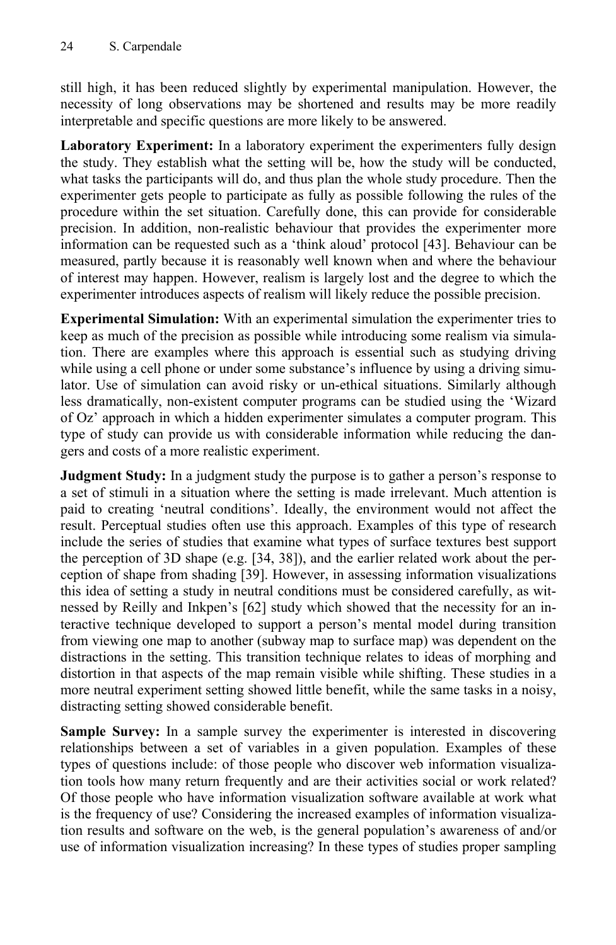still high, it has been reduced slightly by experimental manipulation. However, the necessity of long observations may be shortened and results may be more readily interpretable and specific questions are more likely to be answered.

**Laboratory Experiment:** In a laboratory experiment the experimenters fully design the study. They establish what the setting will be, how the study will be conducted, what tasks the participants will do, and thus plan the whole study procedure. Then the experimenter gets people to participate as fully as possible following the rules of the procedure within the set situation. Carefully done, this can provide for considerable precision. In addition, non-realistic behaviour that provides the experimenter more information can be requested such as a 'think aloud' protocol [43]. Behaviour can be measured, partly because it is reasonably well known when and where the behaviour of interest may happen. However, realism is largely lost and the degree to which the experimenter introduces aspects of realism will likely reduce the possible precision.

**Experimental Simulation:** With an experimental simulation the experimenter tries to keep as much of the precision as possible while introducing some realism via simulation. There are examples where this approach is essential such as studying driving while using a cell phone or under some substance's influence by using a driving simulator. Use of simulation can avoid risky or un-ethical situations. Similarly although less dramatically, non-existent computer programs can be studied using the 'Wizard of Oz' approach in which a hidden experimenter simulates a computer program. This type of study can provide us with considerable information while reducing the dangers and costs of a more realistic experiment.

**Judgment Study:** In a judgment study the purpose is to gather a person's response to a set of stimuli in a situation where the setting is made irrelevant. Much attention is paid to creating 'neutral conditions'. Ideally, the environment would not affect the result. Perceptual studies often use this approach. Examples of this type of research include the series of studies that examine what types of surface textures best support the perception of 3D shape (e.g. [34, 38]), and the earlier related work about the perception of shape from shading [39]. However, in assessing information visualizations this idea of setting a study in neutral conditions must be considered carefully, as witnessed by Reilly and Inkpen's [62] study which showed that the necessity for an interactive technique developed to support a person's mental model during transition from viewing one map to another (subway map to surface map) was dependent on the distractions in the setting. This transition technique relates to ideas of morphing and distortion in that aspects of the map remain visible while shifting. These studies in a more neutral experiment setting showed little benefit, while the same tasks in a noisy, distracting setting showed considerable benefit.

**Sample Survey:** In a sample survey the experimenter is interested in discovering relationships between a set of variables in a given population. Examples of these types of questions include: of those people who discover web information visualization tools how many return frequently and are their activities social or work related? Of those people who have information visualization software available at work what is the frequency of use? Considering the increased examples of information visualization results and software on the web, is the general population's awareness of and/or use of information visualization increasing? In these types of studies proper sampling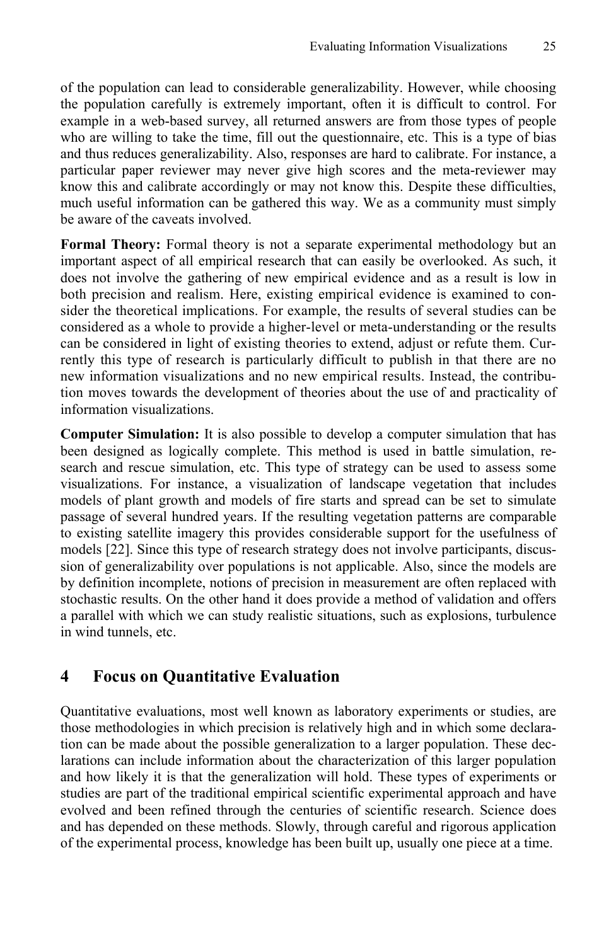of the population can lead to considerable generalizability. However, while choosing the population carefully is extremely important, often it is difficult to control. For example in a web-based survey, all returned answers are from those types of people who are willing to take the time, fill out the questionnaire, etc. This is a type of bias and thus reduces generalizability. Also, responses are hard to calibrate. For instance, a particular paper reviewer may never give high scores and the meta-reviewer may know this and calibrate accordingly or may not know this. Despite these difficulties, much useful information can be gathered this way. We as a community must simply be aware of the caveats involved.

**Formal Theory:** Formal theory is not a separate experimental methodology but an important aspect of all empirical research that can easily be overlooked. As such, it does not involve the gathering of new empirical evidence and as a result is low in both precision and realism. Here, existing empirical evidence is examined to consider the theoretical implications. For example, the results of several studies can be considered as a whole to provide a higher-level or meta-understanding or the results can be considered in light of existing theories to extend, adjust or refute them. Currently this type of research is particularly difficult to publish in that there are no new information visualizations and no new empirical results. Instead, the contribution moves towards the development of theories about the use of and practicality of information visualizations.

**Computer Simulation:** It is also possible to develop a computer simulation that has been designed as logically complete. This method is used in battle simulation, research and rescue simulation, etc. This type of strategy can be used to assess some visualizations. For instance, a visualization of landscape vegetation that includes models of plant growth and models of fire starts and spread can be set to simulate passage of several hundred years. If the resulting vegetation patterns are comparable to existing satellite imagery this provides considerable support for the usefulness of models [22]. Since this type of research strategy does not involve participants, discussion of generalizability over populations is not applicable. Also, since the models are by definition incomplete, notions of precision in measurement are often replaced with stochastic results. On the other hand it does provide a method of validation and offers a parallel with which we can study realistic situations, such as explosions, turbulence in wind tunnels, etc.

### **4 Focus on Quantitative Evaluation**

Quantitative evaluations, most well known as laboratory experiments or studies, are those methodologies in which precision is relatively high and in which some declaration can be made about the possible generalization to a larger population. These declarations can include information about the characterization of this larger population and how likely it is that the generalization will hold. These types of experiments or studies are part of the traditional empirical scientific experimental approach and have evolved and been refined through the centuries of scientific research. Science does and has depended on these methods. Slowly, through careful and rigorous application of the experimental process, knowledge has been built up, usually one piece at a time.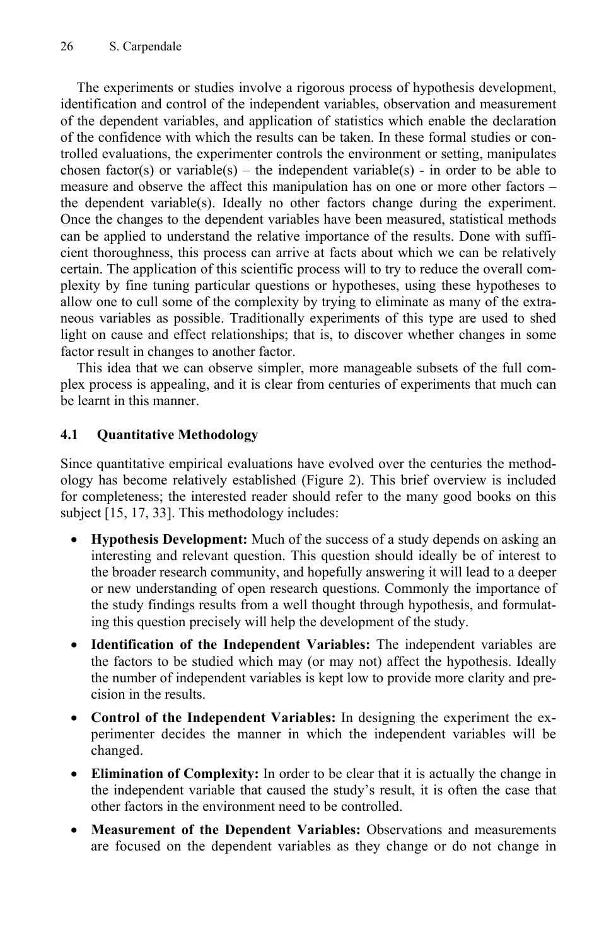The experiments or studies involve a rigorous process of hypothesis development, identification and control of the independent variables, observation and measurement of the dependent variables, and application of statistics which enable the declaration of the confidence with which the results can be taken. In these formal studies or controlled evaluations, the experimenter controls the environment or setting, manipulates chosen factor(s) or variable(s) – the independent variable(s) - in order to be able to measure and observe the affect this manipulation has on one or more other factors – the dependent variable(s). Ideally no other factors change during the experiment. Once the changes to the dependent variables have been measured, statistical methods can be applied to understand the relative importance of the results. Done with sufficient thoroughness, this process can arrive at facts about which we can be relatively certain. The application of this scientific process will to try to reduce the overall complexity by fine tuning particular questions or hypotheses, using these hypotheses to allow one to cull some of the complexity by trying to eliminate as many of the extraneous variables as possible. Traditionally experiments of this type are used to shed light on cause and effect relationships; that is, to discover whether changes in some factor result in changes to another factor.

This idea that we can observe simpler, more manageable subsets of the full complex process is appealing, and it is clear from centuries of experiments that much can be learnt in this manner.

#### **4.1 Quantitative Methodology**

Since quantitative empirical evaluations have evolved over the centuries the methodology has become relatively established (Figure 2). This brief overview is included for completeness; the interested reader should refer to the many good books on this subject [15, 17, 33]. This methodology includes:

- **Hypothesis Development:** Much of the success of a study depends on asking an interesting and relevant question. This question should ideally be of interest to the broader research community, and hopefully answering it will lead to a deeper or new understanding of open research questions. Commonly the importance of the study findings results from a well thought through hypothesis, and formulating this question precisely will help the development of the study.
- **Identification of the Independent Variables:** The independent variables are the factors to be studied which may (or may not) affect the hypothesis. Ideally the number of independent variables is kept low to provide more clarity and precision in the results.
- **Control of the Independent Variables:** In designing the experiment the experimenter decides the manner in which the independent variables will be changed.
- **Elimination of Complexity:** In order to be clear that it is actually the change in the independent variable that caused the study's result, it is often the case that other factors in the environment need to be controlled.
- **Measurement of the Dependent Variables:** Observations and measurements are focused on the dependent variables as they change or do not change in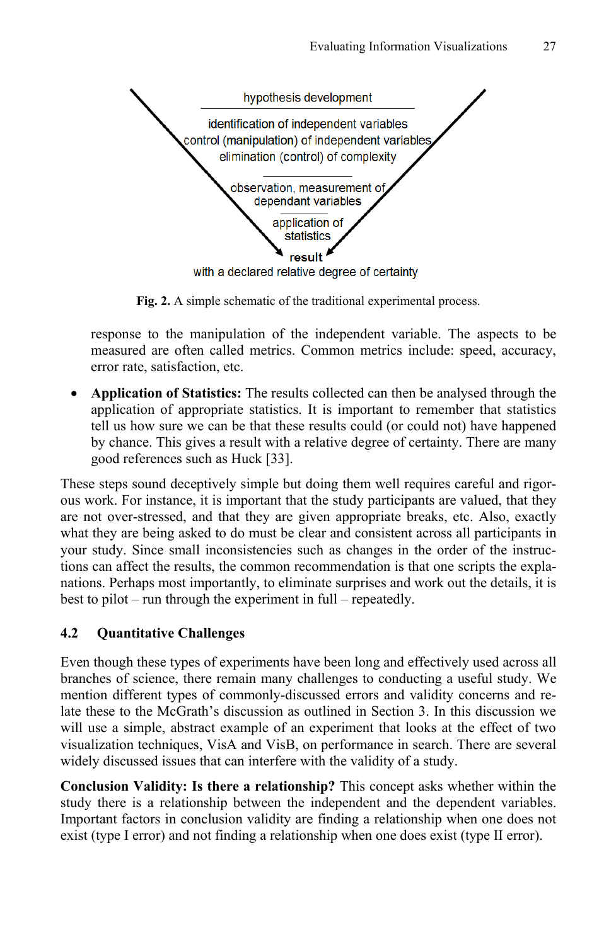

**Fig. 2.** A simple schematic of the traditional experimental process.

response to the manipulation of the independent variable. The aspects to be measured are often called metrics. Common metrics include: speed, accuracy, error rate, satisfaction, etc.

• **Application of Statistics:** The results collected can then be analysed through the application of appropriate statistics. It is important to remember that statistics tell us how sure we can be that these results could (or could not) have happened by chance. This gives a result with a relative degree of certainty. There are many good references such as Huck [33].

These steps sound deceptively simple but doing them well requires careful and rigorous work. For instance, it is important that the study participants are valued, that they are not over-stressed, and that they are given appropriate breaks, etc. Also, exactly what they are being asked to do must be clear and consistent across all participants in your study. Since small inconsistencies such as changes in the order of the instructions can affect the results, the common recommendation is that one scripts the explanations. Perhaps most importantly, to eliminate surprises and work out the details, it is best to pilot – run through the experiment in full – repeatedly.

### **4.2 Quantitative Challenges**

Even though these types of experiments have been long and effectively used across all branches of science, there remain many challenges to conducting a useful study. We mention different types of commonly-discussed errors and validity concerns and relate these to the McGrath's discussion as outlined in Section 3. In this discussion we will use a simple, abstract example of an experiment that looks at the effect of two visualization techniques, VisA and VisB, on performance in search. There are several widely discussed issues that can interfere with the validity of a study.

**Conclusion Validity: Is there a relationship?** This concept asks whether within the study there is a relationship between the independent and the dependent variables. Important factors in conclusion validity are finding a relationship when one does not exist (type I error) and not finding a relationship when one does exist (type II error).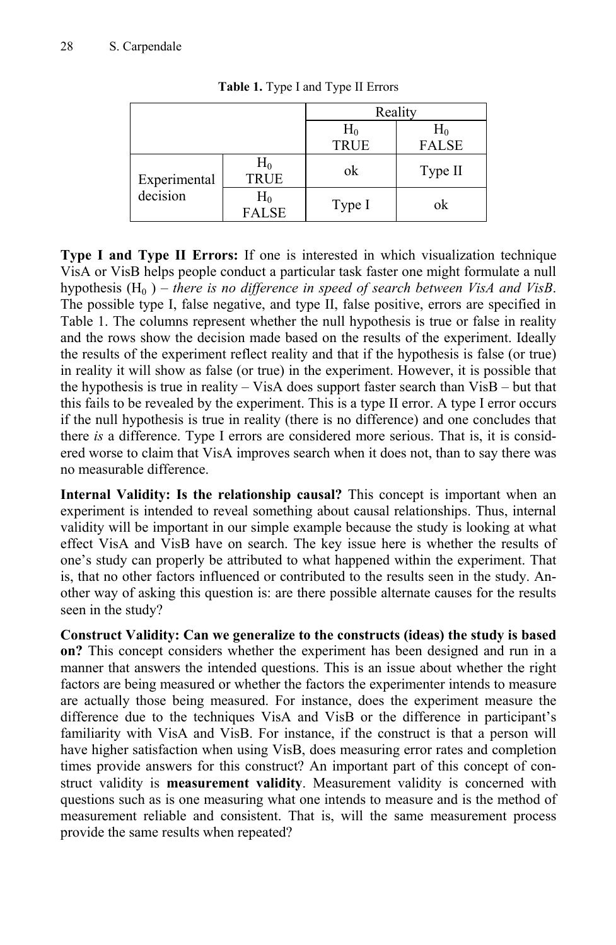|                          |                       | Reality     |              |
|--------------------------|-----------------------|-------------|--------------|
|                          |                       | $H_0$       | $H_0$        |
|                          |                       | <b>TRUE</b> | <b>FALSE</b> |
| Experimental<br>decision | $H_0$<br><b>TRUE</b>  | ok          | Type II      |
|                          | $H_0$<br><b>FALSE</b> | Type I      | ok           |

**Table 1.** Type I and Type II Errors

**Type I and Type II Errors:** If one is interested in which visualization technique VisA or VisB helps people conduct a particular task faster one might formulate a null hypothesis (H0 ) – *there is no difference in speed of search between VisA and VisB*. The possible type I, false negative, and type II, false positive, errors are specified in Table 1. The columns represent whether the null hypothesis is true or false in reality and the rows show the decision made based on the results of the experiment. Ideally the results of the experiment reflect reality and that if the hypothesis is false (or true) in reality it will show as false (or true) in the experiment. However, it is possible that the hypothesis is true in reality – VisA does support faster search than VisB – but that this fails to be revealed by the experiment. This is a type II error. A type I error occurs if the null hypothesis is true in reality (there is no difference) and one concludes that there *is* a difference. Type I errors are considered more serious. That is, it is considered worse to claim that VisA improves search when it does not, than to say there was no measurable difference.

**Internal Validity: Is the relationship causal?** This concept is important when an experiment is intended to reveal something about causal relationships. Thus, internal validity will be important in our simple example because the study is looking at what effect VisA and VisB have on search. The key issue here is whether the results of one's study can properly be attributed to what happened within the experiment. That is, that no other factors influenced or contributed to the results seen in the study. Another way of asking this question is: are there possible alternate causes for the results seen in the study?

**Construct Validity: Can we generalize to the constructs (ideas) the study is based on?** This concept considers whether the experiment has been designed and run in a manner that answers the intended questions. This is an issue about whether the right factors are being measured or whether the factors the experimenter intends to measure are actually those being measured. For instance, does the experiment measure the difference due to the techniques VisA and VisB or the difference in participant's familiarity with VisA and VisB. For instance, if the construct is that a person will have higher satisfaction when using VisB, does measuring error rates and completion times provide answers for this construct? An important part of this concept of construct validity is **measurement validity**. Measurement validity is concerned with questions such as is one measuring what one intends to measure and is the method of measurement reliable and consistent. That is, will the same measurement process provide the same results when repeated?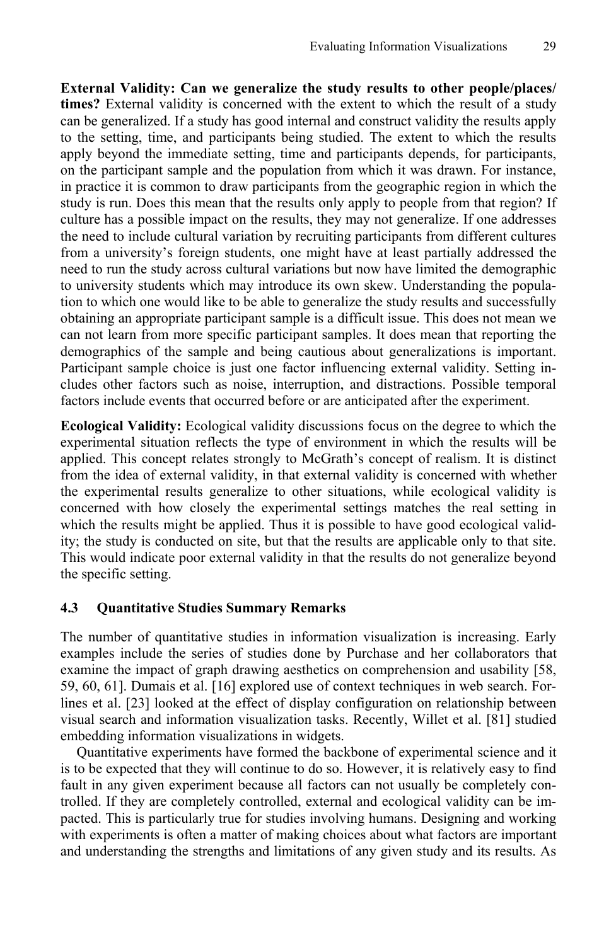**External Validity: Can we generalize the study results to other people/places/ times?** External validity is concerned with the extent to which the result of a study can be generalized. If a study has good internal and construct validity the results apply to the setting, time, and participants being studied. The extent to which the results apply beyond the immediate setting, time and participants depends, for participants, on the participant sample and the population from which it was drawn. For instance, in practice it is common to draw participants from the geographic region in which the study is run. Does this mean that the results only apply to people from that region? If culture has a possible impact on the results, they may not generalize. If one addresses the need to include cultural variation by recruiting participants from different cultures from a university's foreign students, one might have at least partially addressed the need to run the study across cultural variations but now have limited the demographic to university students which may introduce its own skew. Understanding the population to which one would like to be able to generalize the study results and successfully obtaining an appropriate participant sample is a difficult issue. This does not mean we can not learn from more specific participant samples. It does mean that reporting the demographics of the sample and being cautious about generalizations is important. Participant sample choice is just one factor influencing external validity. Setting includes other factors such as noise, interruption, and distractions. Possible temporal factors include events that occurred before or are anticipated after the experiment.

**Ecological Validity:** Ecological validity discussions focus on the degree to which the experimental situation reflects the type of environment in which the results will be applied. This concept relates strongly to McGrath's concept of realism. It is distinct from the idea of external validity, in that external validity is concerned with whether the experimental results generalize to other situations, while ecological validity is concerned with how closely the experimental settings matches the real setting in which the results might be applied. Thus it is possible to have good ecological validity; the study is conducted on site, but that the results are applicable only to that site. This would indicate poor external validity in that the results do not generalize beyond the specific setting.

#### **4.3 Quantitative Studies Summary Remarks**

The number of quantitative studies in information visualization is increasing. Early examples include the series of studies done by Purchase and her collaborators that examine the impact of graph drawing aesthetics on comprehension and usability [58, 59, 60, 61]. Dumais et al. [16] explored use of context techniques in web search. Forlines et al. [23] looked at the effect of display configuration on relationship between visual search and information visualization tasks. Recently, Willet et al. [81] studied embedding information visualizations in widgets.

Quantitative experiments have formed the backbone of experimental science and it is to be expected that they will continue to do so. However, it is relatively easy to find fault in any given experiment because all factors can not usually be completely controlled. If they are completely controlled, external and ecological validity can be impacted. This is particularly true for studies involving humans. Designing and working with experiments is often a matter of making choices about what factors are important and understanding the strengths and limitations of any given study and its results. As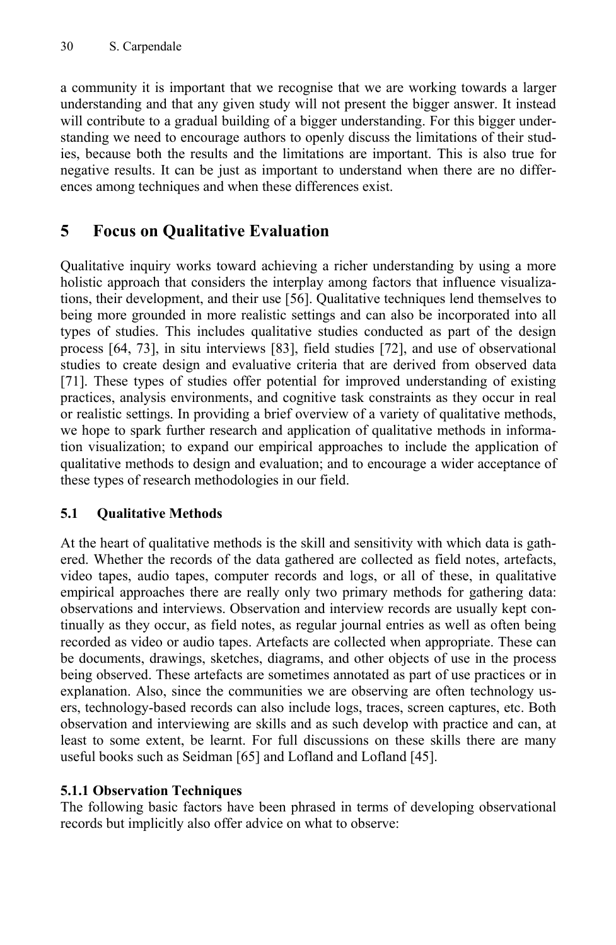a community it is important that we recognise that we are working towards a larger understanding and that any given study will not present the bigger answer. It instead will contribute to a gradual building of a bigger understanding. For this bigger understanding we need to encourage authors to openly discuss the limitations of their studies, because both the results and the limitations are important. This is also true for negative results. It can be just as important to understand when there are no differences among techniques and when these differences exist.

# **5 Focus on Qualitative Evaluation**

Qualitative inquiry works toward achieving a richer understanding by using a more holistic approach that considers the interplay among factors that influence visualizations, their development, and their use [56]. Qualitative techniques lend themselves to being more grounded in more realistic settings and can also be incorporated into all types of studies. This includes qualitative studies conducted as part of the design process [64, 73], in situ interviews [83], field studies [72], and use of observational studies to create design and evaluative criteria that are derived from observed data [71]. These types of studies offer potential for improved understanding of existing practices, analysis environments, and cognitive task constraints as they occur in real or realistic settings. In providing a brief overview of a variety of qualitative methods, we hope to spark further research and application of qualitative methods in information visualization; to expand our empirical approaches to include the application of qualitative methods to design and evaluation; and to encourage a wider acceptance of these types of research methodologies in our field.

### **5.1 Qualitative Methods**

At the heart of qualitative methods is the skill and sensitivity with which data is gathered. Whether the records of the data gathered are collected as field notes, artefacts, video tapes, audio tapes, computer records and logs, or all of these, in qualitative empirical approaches there are really only two primary methods for gathering data: observations and interviews. Observation and interview records are usually kept continually as they occur, as field notes, as regular journal entries as well as often being recorded as video or audio tapes. Artefacts are collected when appropriate. These can be documents, drawings, sketches, diagrams, and other objects of use in the process being observed. These artefacts are sometimes annotated as part of use practices or in explanation. Also, since the communities we are observing are often technology users, technology-based records can also include logs, traces, screen captures, etc. Both observation and interviewing are skills and as such develop with practice and can, at least to some extent, be learnt. For full discussions on these skills there are many useful books such as Seidman [65] and Lofland and Lofland [45].

#### **5.1.1 Observation Techniques**

The following basic factors have been phrased in terms of developing observational records but implicitly also offer advice on what to observe: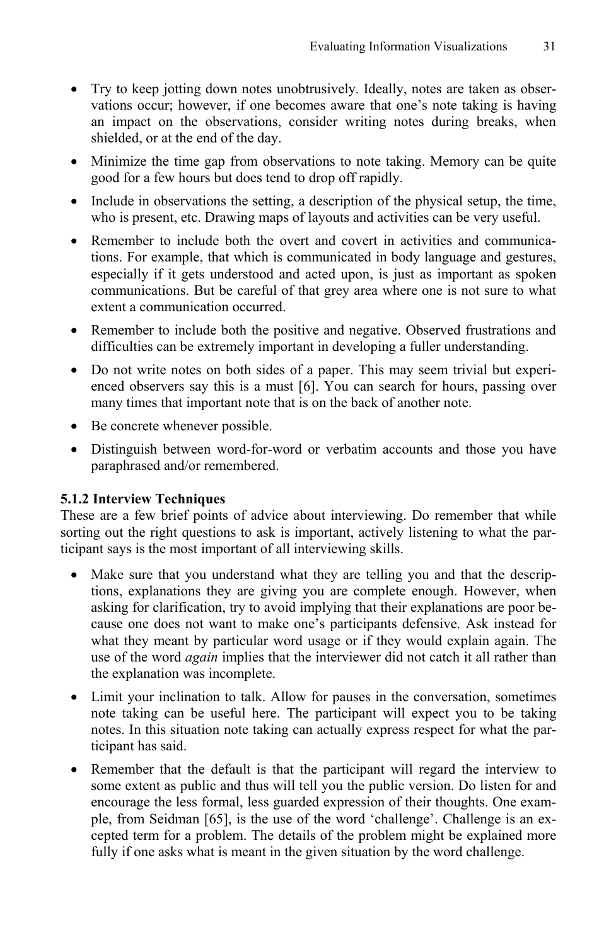- Try to keep jotting down notes unobtrusively. Ideally, notes are taken as observations occur; however, if one becomes aware that one's note taking is having an impact on the observations, consider writing notes during breaks, when shielded, or at the end of the day.
- Minimize the time gap from observations to note taking. Memory can be quite good for a few hours but does tend to drop off rapidly.
- Include in observations the setting, a description of the physical setup, the time, who is present, etc. Drawing maps of layouts and activities can be very useful.
- Remember to include both the overt and covert in activities and communications. For example, that which is communicated in body language and gestures, especially if it gets understood and acted upon, is just as important as spoken communications. But be careful of that grey area where one is not sure to what extent a communication occurred.
- Remember to include both the positive and negative. Observed frustrations and difficulties can be extremely important in developing a fuller understanding.
- Do not write notes on both sides of a paper. This may seem trivial but experienced observers say this is a must [6]. You can search for hours, passing over many times that important note that is on the back of another note.
- Be concrete whenever possible.
- Distinguish between word-for-word or verbatim accounts and those you have paraphrased and/or remembered.

#### **5.1.2 Interview Techniques**

These are a few brief points of advice about interviewing. Do remember that while sorting out the right questions to ask is important, actively listening to what the participant says is the most important of all interviewing skills.

- Make sure that you understand what they are telling you and that the descriptions, explanations they are giving you are complete enough. However, when asking for clarification, try to avoid implying that their explanations are poor because one does not want to make one's participants defensive. Ask instead for what they meant by particular word usage or if they would explain again. The use of the word *again* implies that the interviewer did not catch it all rather than the explanation was incomplete.
- Limit your inclination to talk. Allow for pauses in the conversation, sometimes note taking can be useful here. The participant will expect you to be taking notes. In this situation note taking can actually express respect for what the participant has said.
- Remember that the default is that the participant will regard the interview to some extent as public and thus will tell you the public version. Do listen for and encourage the less formal, less guarded expression of their thoughts. One example, from Seidman [65], is the use of the word 'challenge'. Challenge is an excepted term for a problem. The details of the problem might be explained more fully if one asks what is meant in the given situation by the word challenge.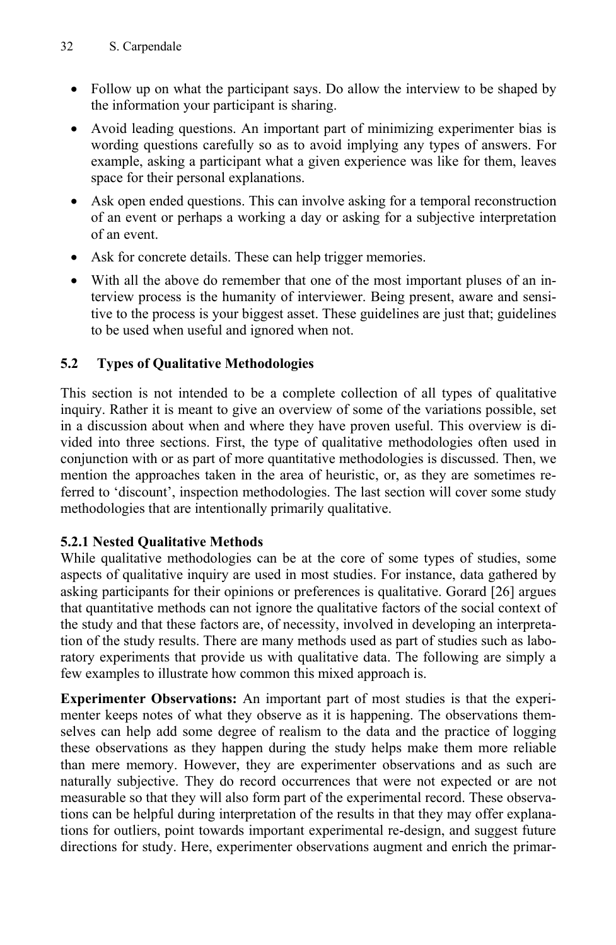- Follow up on what the participant says. Do allow the interview to be shaped by the information your participant is sharing.
- Avoid leading questions. An important part of minimizing experimenter bias is wording questions carefully so as to avoid implying any types of answers. For example, asking a participant what a given experience was like for them, leaves space for their personal explanations.
- Ask open ended questions. This can involve asking for a temporal reconstruction of an event or perhaps a working a day or asking for a subjective interpretation of an event.
- Ask for concrete details. These can help trigger memories.
- With all the above do remember that one of the most important pluses of an interview process is the humanity of interviewer. Being present, aware and sensitive to the process is your biggest asset. These guidelines are just that; guidelines to be used when useful and ignored when not.

## **5.2 Types of Qualitative Methodologies**

This section is not intended to be a complete collection of all types of qualitative inquiry. Rather it is meant to give an overview of some of the variations possible, set in a discussion about when and where they have proven useful. This overview is divided into three sections. First, the type of qualitative methodologies often used in conjunction with or as part of more quantitative methodologies is discussed. Then, we mention the approaches taken in the area of heuristic, or, as they are sometimes referred to 'discount', inspection methodologies. The last section will cover some study methodologies that are intentionally primarily qualitative.

### **5.2.1 Nested Qualitative Methods**

While qualitative methodologies can be at the core of some types of studies, some aspects of qualitative inquiry are used in most studies. For instance, data gathered by asking participants for their opinions or preferences is qualitative. Gorard [26] argues that quantitative methods can not ignore the qualitative factors of the social context of the study and that these factors are, of necessity, involved in developing an interpretation of the study results. There are many methods used as part of studies such as laboratory experiments that provide us with qualitative data. The following are simply a few examples to illustrate how common this mixed approach is.

**Experimenter Observations:** An important part of most studies is that the experimenter keeps notes of what they observe as it is happening. The observations themselves can help add some degree of realism to the data and the practice of logging these observations as they happen during the study helps make them more reliable than mere memory. However, they are experimenter observations and as such are naturally subjective. They do record occurrences that were not expected or are not measurable so that they will also form part of the experimental record. These observations can be helpful during interpretation of the results in that they may offer explanations for outliers, point towards important experimental re-design, and suggest future directions for study. Here, experimenter observations augment and enrich the primar-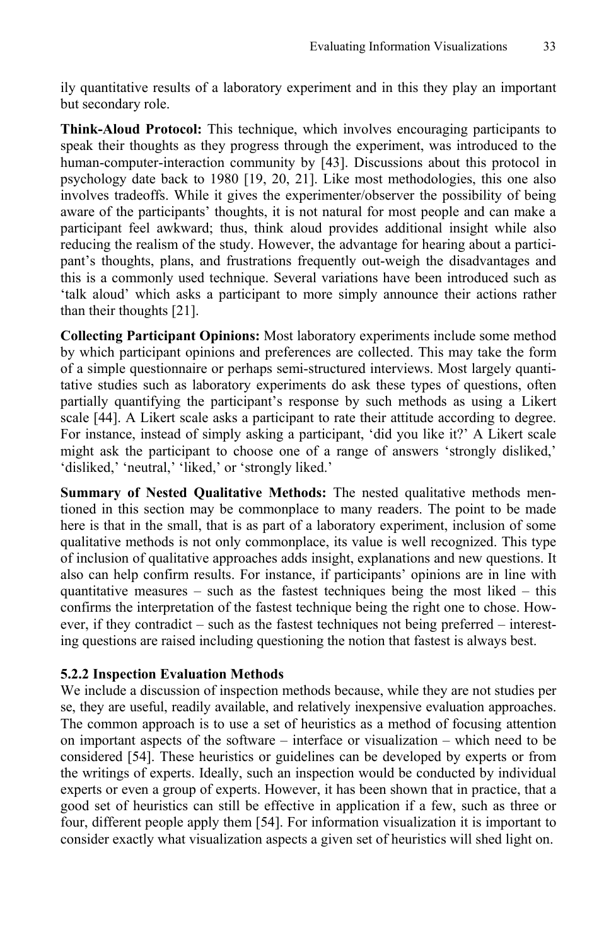ily quantitative results of a laboratory experiment and in this they play an important but secondary role.

**Think-Aloud Protocol:** This technique, which involves encouraging participants to speak their thoughts as they progress through the experiment, was introduced to the human-computer-interaction community by [43]. Discussions about this protocol in psychology date back to 1980 [19, 20, 21]. Like most methodologies, this one also involves tradeoffs. While it gives the experimenter/observer the possibility of being aware of the participants' thoughts, it is not natural for most people and can make a participant feel awkward; thus, think aloud provides additional insight while also reducing the realism of the study. However, the advantage for hearing about a participant's thoughts, plans, and frustrations frequently out-weigh the disadvantages and this is a commonly used technique. Several variations have been introduced such as 'talk aloud' which asks a participant to more simply announce their actions rather than their thoughts [21].

**Collecting Participant Opinions:** Most laboratory experiments include some method by which participant opinions and preferences are collected. This may take the form of a simple questionnaire or perhaps semi-structured interviews. Most largely quantitative studies such as laboratory experiments do ask these types of questions, often partially quantifying the participant's response by such methods as using a Likert scale [44]. A Likert scale asks a participant to rate their attitude according to degree. For instance, instead of simply asking a participant, 'did you like it?' A Likert scale might ask the participant to choose one of a range of answers 'strongly disliked,' 'disliked,' 'neutral,' 'liked,' or 'strongly liked.'

**Summary of Nested Qualitative Methods:** The nested qualitative methods mentioned in this section may be commonplace to many readers. The point to be made here is that in the small, that is as part of a laboratory experiment, inclusion of some qualitative methods is not only commonplace, its value is well recognized. This type of inclusion of qualitative approaches adds insight, explanations and new questions. It also can help confirm results. For instance, if participants' opinions are in line with quantitative measures – such as the fastest techniques being the most liked – this confirms the interpretation of the fastest technique being the right one to chose. However, if they contradict – such as the fastest techniques not being preferred – interesting questions are raised including questioning the notion that fastest is always best.

#### **5.2.2 Inspection Evaluation Methods**

We include a discussion of inspection methods because, while they are not studies per se, they are useful, readily available, and relatively inexpensive evaluation approaches. The common approach is to use a set of heuristics as a method of focusing attention on important aspects of the software – interface or visualization – which need to be considered [54]. These heuristics or guidelines can be developed by experts or from the writings of experts. Ideally, such an inspection would be conducted by individual experts or even a group of experts. However, it has been shown that in practice, that a good set of heuristics can still be effective in application if a few, such as three or four, different people apply them [54]. For information visualization it is important to consider exactly what visualization aspects a given set of heuristics will shed light on.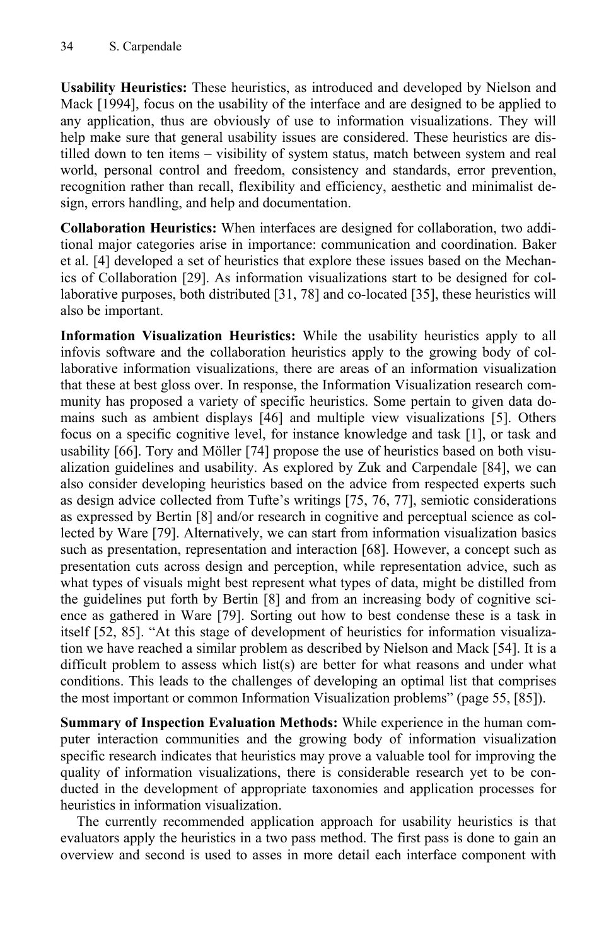**Usability Heuristics:** These heuristics, as introduced and developed by Nielson and Mack [1994], focus on the usability of the interface and are designed to be applied to any application, thus are obviously of use to information visualizations. They will help make sure that general usability issues are considered. These heuristics are distilled down to ten items – visibility of system status, match between system and real world, personal control and freedom, consistency and standards, error prevention, recognition rather than recall, flexibility and efficiency, aesthetic and minimalist design, errors handling, and help and documentation.

**Collaboration Heuristics:** When interfaces are designed for collaboration, two additional major categories arise in importance: communication and coordination. Baker et al. [4] developed a set of heuristics that explore these issues based on the Mechanics of Collaboration [29]. As information visualizations start to be designed for collaborative purposes, both distributed [31, 78] and co-located [35], these heuristics will also be important.

**Information Visualization Heuristics:** While the usability heuristics apply to all infovis software and the collaboration heuristics apply to the growing body of collaborative information visualizations, there are areas of an information visualization that these at best gloss over. In response, the Information Visualization research community has proposed a variety of specific heuristics. Some pertain to given data domains such as ambient displays [46] and multiple view visualizations [5]. Others focus on a specific cognitive level, for instance knowledge and task [1], or task and usability [66]. Tory and Möller [74] propose the use of heuristics based on both visualization guidelines and usability. As explored by Zuk and Carpendale [84], we can also consider developing heuristics based on the advice from respected experts such as design advice collected from Tufte's writings [75, 76, 77], semiotic considerations as expressed by Bertin [8] and/or research in cognitive and perceptual science as collected by Ware [79]. Alternatively, we can start from information visualization basics such as presentation, representation and interaction [68]. However, a concept such as presentation cuts across design and perception, while representation advice, such as what types of visuals might best represent what types of data, might be distilled from the guidelines put forth by Bertin [8] and from an increasing body of cognitive science as gathered in Ware [79]. Sorting out how to best condense these is a task in itself [52, 85]. "At this stage of development of heuristics for information visualization we have reached a similar problem as described by Nielson and Mack [54]. It is a difficult problem to assess which list(s) are better for what reasons and under what conditions. This leads to the challenges of developing an optimal list that comprises the most important or common Information Visualization problems" (page 55, [85]).

**Summary of Inspection Evaluation Methods:** While experience in the human computer interaction communities and the growing body of information visualization specific research indicates that heuristics may prove a valuable tool for improving the quality of information visualizations, there is considerable research yet to be conducted in the development of appropriate taxonomies and application processes for heuristics in information visualization.

The currently recommended application approach for usability heuristics is that evaluators apply the heuristics in a two pass method. The first pass is done to gain an overview and second is used to asses in more detail each interface component with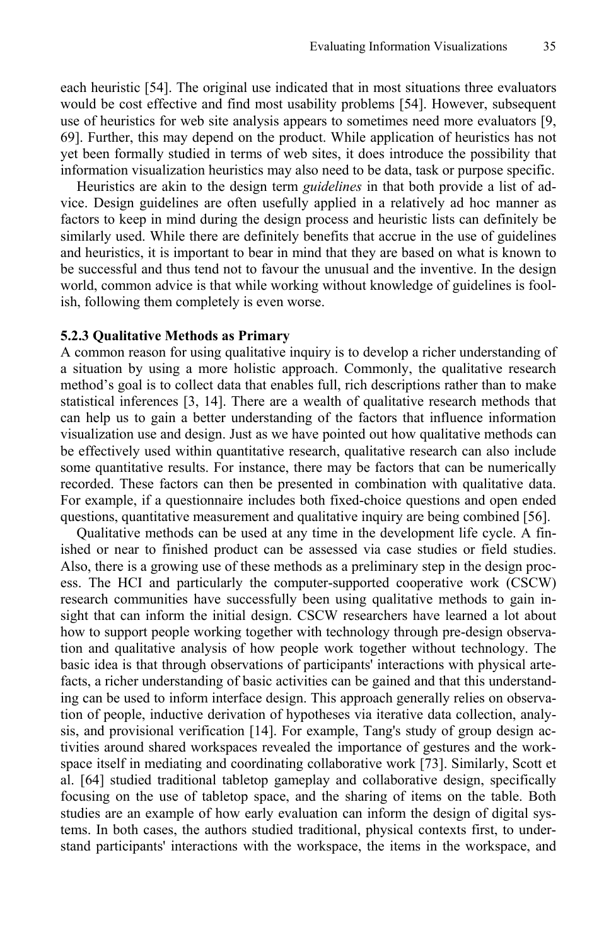each heuristic [54]. The original use indicated that in most situations three evaluators would be cost effective and find most usability problems [54]. However, subsequent use of heuristics for web site analysis appears to sometimes need more evaluators [9, 69]. Further, this may depend on the product. While application of heuristics has not yet been formally studied in terms of web sites, it does introduce the possibility that information visualization heuristics may also need to be data, task or purpose specific.

Heuristics are akin to the design term *guidelines* in that both provide a list of advice. Design guidelines are often usefully applied in a relatively ad hoc manner as factors to keep in mind during the design process and heuristic lists can definitely be similarly used. While there are definitely benefits that accrue in the use of guidelines and heuristics, it is important to bear in mind that they are based on what is known to be successful and thus tend not to favour the unusual and the inventive. In the design world, common advice is that while working without knowledge of guidelines is foolish, following them completely is even worse.

#### **5.2.3 Qualitative Methods as Primary**

A common reason for using qualitative inquiry is to develop a richer understanding of a situation by using a more holistic approach. Commonly, the qualitative research method's goal is to collect data that enables full, rich descriptions rather than to make statistical inferences [3, 14]. There are a wealth of qualitative research methods that can help us to gain a better understanding of the factors that influence information visualization use and design. Just as we have pointed out how qualitative methods can be effectively used within quantitative research, qualitative research can also include some quantitative results. For instance, there may be factors that can be numerically recorded. These factors can then be presented in combination with qualitative data. For example, if a questionnaire includes both fixed-choice questions and open ended questions, quantitative measurement and qualitative inquiry are being combined [56].

Qualitative methods can be used at any time in the development life cycle. A finished or near to finished product can be assessed via case studies or field studies. Also, there is a growing use of these methods as a preliminary step in the design process. The HCI and particularly the computer-supported cooperative work (CSCW) research communities have successfully been using qualitative methods to gain insight that can inform the initial design. CSCW researchers have learned a lot about how to support people working together with technology through pre-design observation and qualitative analysis of how people work together without technology. The basic idea is that through observations of participants' interactions with physical artefacts, a richer understanding of basic activities can be gained and that this understanding can be used to inform interface design. This approach generally relies on observation of people, inductive derivation of hypotheses via iterative data collection, analysis, and provisional verification [14]. For example, Tang's study of group design activities around shared workspaces revealed the importance of gestures and the workspace itself in mediating and coordinating collaborative work [73]. Similarly, Scott et al. [64] studied traditional tabletop gameplay and collaborative design, specifically focusing on the use of tabletop space, and the sharing of items on the table. Both studies are an example of how early evaluation can inform the design of digital systems. In both cases, the authors studied traditional, physical contexts first, to understand participants' interactions with the workspace, the items in the workspace, and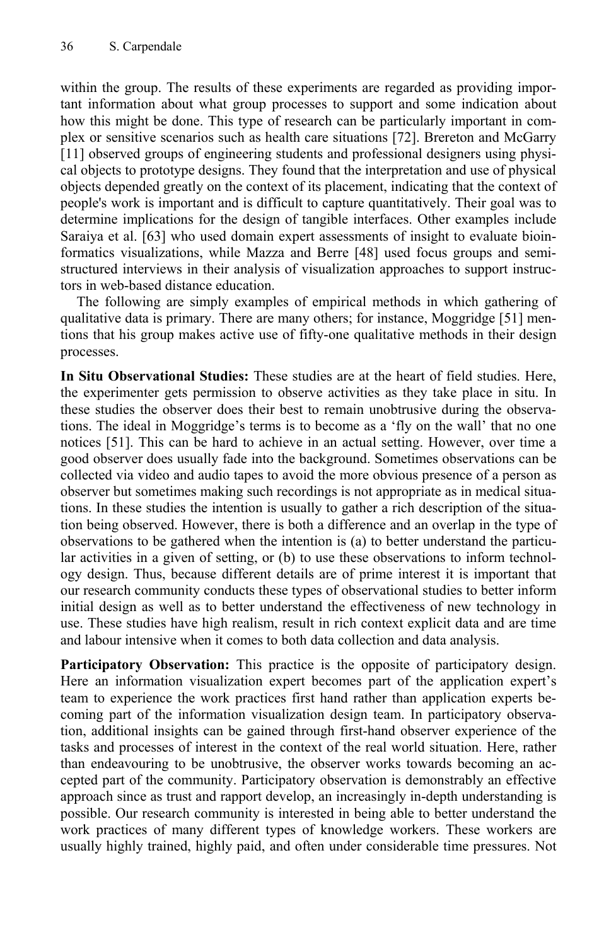within the group. The results of these experiments are regarded as providing important information about what group processes to support and some indication about how this might be done. This type of research can be particularly important in complex or sensitive scenarios such as health care situations [72]. Brereton and McGarry [11] observed groups of engineering students and professional designers using physical objects to prototype designs. They found that the interpretation and use of physical objects depended greatly on the context of its placement, indicating that the context of people's work is important and is difficult to capture quantitatively. Their goal was to determine implications for the design of tangible interfaces. Other examples include Saraiya et al. [63] who used domain expert assessments of insight to evaluate bioinformatics visualizations, while Mazza and Berre [48] used focus groups and semistructured interviews in their analysis of visualization approaches to support instructors in web-based distance education.

The following are simply examples of empirical methods in which gathering of qualitative data is primary. There are many others; for instance, Moggridge [51] mentions that his group makes active use of fifty-one qualitative methods in their design processes.

**In Situ Observational Studies:** These studies are at the heart of field studies. Here, the experimenter gets permission to observe activities as they take place in situ. In these studies the observer does their best to remain unobtrusive during the observations. The ideal in Moggridge's terms is to become as a 'fly on the wall' that no one notices [51]. This can be hard to achieve in an actual setting. However, over time a good observer does usually fade into the background. Sometimes observations can be collected via video and audio tapes to avoid the more obvious presence of a person as observer but sometimes making such recordings is not appropriate as in medical situations. In these studies the intention is usually to gather a rich description of the situation being observed. However, there is both a difference and an overlap in the type of observations to be gathered when the intention is (a) to better understand the particular activities in a given of setting, or (b) to use these observations to inform technology design. Thus, because different details are of prime interest it is important that our research community conducts these types of observational studies to better inform initial design as well as to better understand the effectiveness of new technology in use. These studies have high realism, result in rich context explicit data and are time and labour intensive when it comes to both data collection and data analysis.

**Participatory Observation:** This practice is the opposite of participatory design. Here an information visualization expert becomes part of the application expert's team to experience the work practices first hand rather than application experts becoming part of the information visualization design team. In participatory observation, additional insights can be gained through first-hand observer experience of the tasks and processes of interest in the context of the real world situation. Here, rather than endeavouring to be unobtrusive, the observer works towards becoming an accepted part of the community. Participatory observation is demonstrably an effective approach since as trust and rapport develop, an increasingly in-depth understanding is possible. Our research community is interested in being able to better understand the work practices of many different types of knowledge workers. These workers are usually highly trained, highly paid, and often under considerable time pressures. Not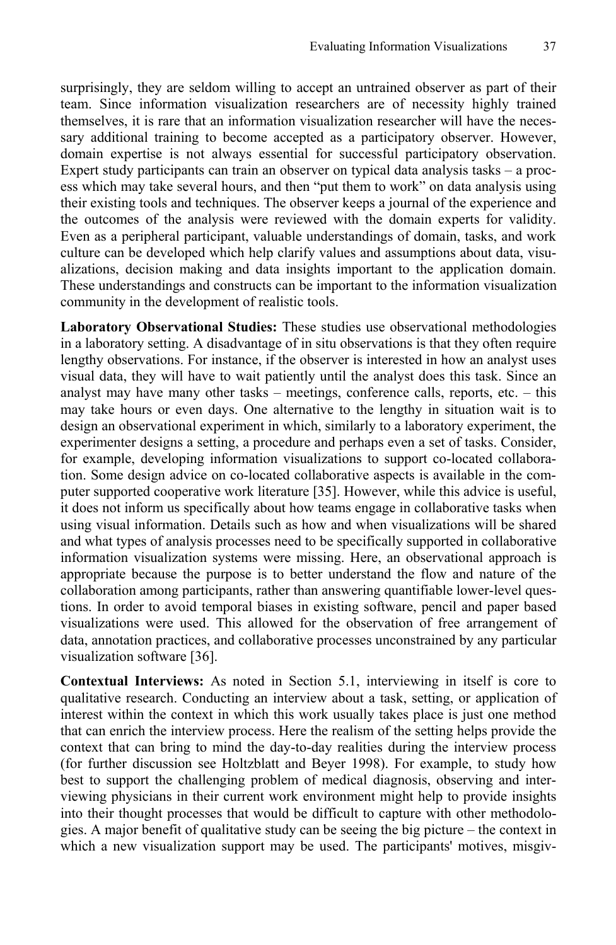surprisingly, they are seldom willing to accept an untrained observer as part of their team. Since information visualization researchers are of necessity highly trained themselves, it is rare that an information visualization researcher will have the necessary additional training to become accepted as a participatory observer. However, domain expertise is not always essential for successful participatory observation. Expert study participants can train an observer on typical data analysis tasks – a process which may take several hours, and then "put them to work" on data analysis using their existing tools and techniques. The observer keeps a journal of the experience and the outcomes of the analysis were reviewed with the domain experts for validity. Even as a peripheral participant, valuable understandings of domain, tasks, and work culture can be developed which help clarify values and assumptions about data, visualizations, decision making and data insights important to the application domain. These understandings and constructs can be important to the information visualization community in the development of realistic tools.

**Laboratory Observational Studies:** These studies use observational methodologies in a laboratory setting. A disadvantage of in situ observations is that they often require lengthy observations. For instance, if the observer is interested in how an analyst uses visual data, they will have to wait patiently until the analyst does this task. Since an analyst may have many other tasks – meetings, conference calls, reports, etc. – this may take hours or even days. One alternative to the lengthy in situation wait is to design an observational experiment in which, similarly to a laboratory experiment, the experimenter designs a setting, a procedure and perhaps even a set of tasks. Consider, for example, developing information visualizations to support co-located collaboration. Some design advice on co-located collaborative aspects is available in the computer supported cooperative work literature [35]. However, while this advice is useful, it does not inform us specifically about how teams engage in collaborative tasks when using visual information. Details such as how and when visualizations will be shared and what types of analysis processes need to be specifically supported in collaborative information visualization systems were missing. Here, an observational approach is appropriate because the purpose is to better understand the flow and nature of the collaboration among participants, rather than answering quantifiable lower-level questions. In order to avoid temporal biases in existing software, pencil and paper based visualizations were used. This allowed for the observation of free arrangement of data, annotation practices, and collaborative processes unconstrained by any particular visualization software [36].

**Contextual Interviews:** As noted in Section 5.1, interviewing in itself is core to qualitative research. Conducting an interview about a task, setting, or application of interest within the context in which this work usually takes place is just one method that can enrich the interview process. Here the realism of the setting helps provide the context that can bring to mind the day-to-day realities during the interview process (for further discussion see Holtzblatt and Beyer 1998). For example, to study how best to support the challenging problem of medical diagnosis, observing and interviewing physicians in their current work environment might help to provide insights into their thought processes that would be difficult to capture with other methodologies. A major benefit of qualitative study can be seeing the big picture – the context in which a new visualization support may be used. The participants' motives, misgiv-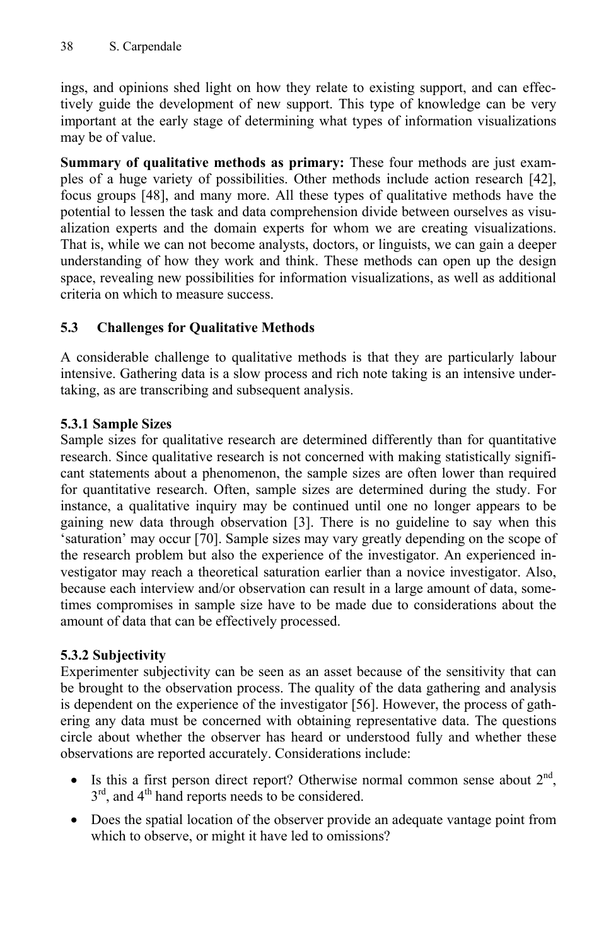ings, and opinions shed light on how they relate to existing support, and can effectively guide the development of new support. This type of knowledge can be very important at the early stage of determining what types of information visualizations may be of value.

**Summary of qualitative methods as primary:** These four methods are just examples of a huge variety of possibilities. Other methods include action research [42], focus groups [48], and many more. All these types of qualitative methods have the potential to lessen the task and data comprehension divide between ourselves as visualization experts and the domain experts for whom we are creating visualizations. That is, while we can not become analysts, doctors, or linguists, we can gain a deeper understanding of how they work and think. These methods can open up the design space, revealing new possibilities for information visualizations, as well as additional criteria on which to measure success.

## **5.3 Challenges for Qualitative Methods**

A considerable challenge to qualitative methods is that they are particularly labour intensive. Gathering data is a slow process and rich note taking is an intensive undertaking, as are transcribing and subsequent analysis.

## **5.3.1 Sample Sizes**

Sample sizes for qualitative research are determined differently than for quantitative research. Since qualitative research is not concerned with making statistically significant statements about a phenomenon, the sample sizes are often lower than required for quantitative research. Often, sample sizes are determined during the study. For instance, a qualitative inquiry may be continued until one no longer appears to be gaining new data through observation [3]. There is no guideline to say when this 'saturation' may occur [70]. Sample sizes may vary greatly depending on the scope of the research problem but also the experience of the investigator. An experienced investigator may reach a theoretical saturation earlier than a novice investigator. Also, because each interview and/or observation can result in a large amount of data, sometimes compromises in sample size have to be made due to considerations about the amount of data that can be effectively processed.

## **5.3.2 Subjectivity**

Experimenter subjectivity can be seen as an asset because of the sensitivity that can be brought to the observation process. The quality of the data gathering and analysis is dependent on the experience of the investigator [56]. However, the process of gathering any data must be concerned with obtaining representative data. The questions circle about whether the observer has heard or understood fully and whether these observations are reported accurately. Considerations include:

- Is this a first person direct report? Otherwise normal common sense about  $2<sup>nd</sup>$ ,  $3<sup>rd</sup>$ , and  $4<sup>th</sup>$  hand reports needs to be considered.
- Does the spatial location of the observer provide an adequate vantage point from which to observe, or might it have led to omissions?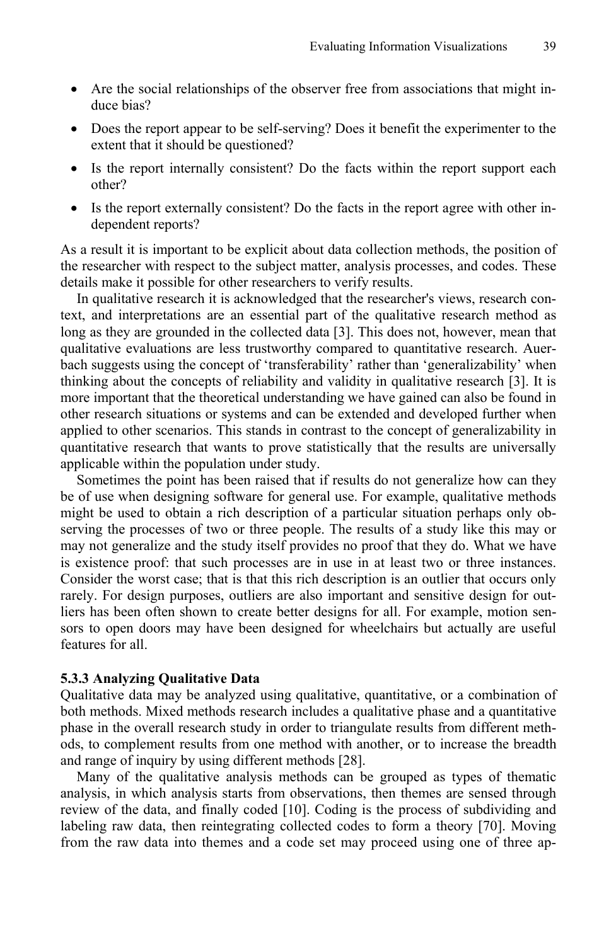- Are the social relationships of the observer free from associations that might induce bias?
- Does the report appear to be self-serving? Does it benefit the experimenter to the extent that it should be questioned?
- Is the report internally consistent? Do the facts within the report support each other?
- Is the report externally consistent? Do the facts in the report agree with other independent reports?

As a result it is important to be explicit about data collection methods, the position of the researcher with respect to the subject matter, analysis processes, and codes. These details make it possible for other researchers to verify results.

In qualitative research it is acknowledged that the researcher's views, research context, and interpretations are an essential part of the qualitative research method as long as they are grounded in the collected data [3]. This does not, however, mean that qualitative evaluations are less trustworthy compared to quantitative research. Auerbach suggests using the concept of 'transferability' rather than 'generalizability' when thinking about the concepts of reliability and validity in qualitative research [3]. It is more important that the theoretical understanding we have gained can also be found in other research situations or systems and can be extended and developed further when applied to other scenarios. This stands in contrast to the concept of generalizability in quantitative research that wants to prove statistically that the results are universally applicable within the population under study.

Sometimes the point has been raised that if results do not generalize how can they be of use when designing software for general use. For example, qualitative methods might be used to obtain a rich description of a particular situation perhaps only observing the processes of two or three people. The results of a study like this may or may not generalize and the study itself provides no proof that they do. What we have is existence proof: that such processes are in use in at least two or three instances. Consider the worst case; that is that this rich description is an outlier that occurs only rarely. For design purposes, outliers are also important and sensitive design for outliers has been often shown to create better designs for all. For example, motion sensors to open doors may have been designed for wheelchairs but actually are useful features for all.

#### **5.3.3 Analyzing Qualitative Data**

Qualitative data may be analyzed using qualitative, quantitative, or a combination of both methods. Mixed methods research includes a qualitative phase and a quantitative phase in the overall research study in order to triangulate results from different methods, to complement results from one method with another, or to increase the breadth and range of inquiry by using different methods [28].

Many of the qualitative analysis methods can be grouped as types of thematic analysis, in which analysis starts from observations, then themes are sensed through review of the data, and finally coded [10]. Coding is the process of subdividing and labeling raw data, then reintegrating collected codes to form a theory [70]. Moving from the raw data into themes and a code set may proceed using one of three ap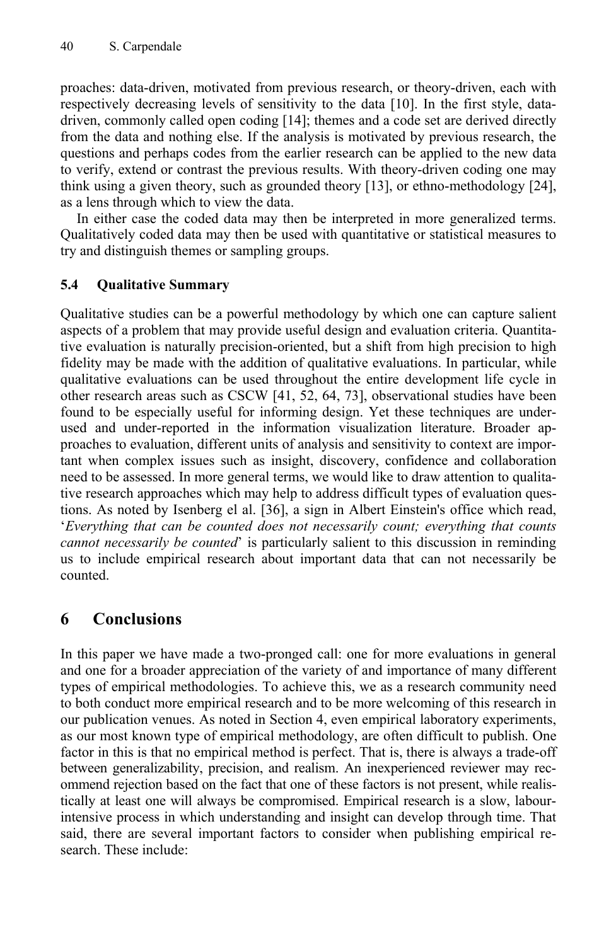proaches: data-driven, motivated from previous research, or theory-driven, each with respectively decreasing levels of sensitivity to the data [10]. In the first style, datadriven, commonly called open coding [14]; themes and a code set are derived directly from the data and nothing else. If the analysis is motivated by previous research, the questions and perhaps codes from the earlier research can be applied to the new data to verify, extend or contrast the previous results. With theory-driven coding one may think using a given theory, such as grounded theory [13], or ethno-methodology [24], as a lens through which to view the data.

In either case the coded data may then be interpreted in more generalized terms. Qualitatively coded data may then be used with quantitative or statistical measures to try and distinguish themes or sampling groups.

#### **5.4 Qualitative Summary**

Qualitative studies can be a powerful methodology by which one can capture salient aspects of a problem that may provide useful design and evaluation criteria. Quantitative evaluation is naturally precision-oriented, but a shift from high precision to high fidelity may be made with the addition of qualitative evaluations. In particular, while qualitative evaluations can be used throughout the entire development life cycle in other research areas such as CSCW [41, 52, 64, 73], observational studies have been found to be especially useful for informing design. Yet these techniques are underused and under-reported in the information visualization literature. Broader approaches to evaluation, different units of analysis and sensitivity to context are important when complex issues such as insight, discovery, confidence and collaboration need to be assessed. In more general terms, we would like to draw attention to qualitative research approaches which may help to address difficult types of evaluation questions. As noted by Isenberg el al. [36], a sign in Albert Einstein's office which read, '*Everything that can be counted does not necessarily count; everything that counts cannot necessarily be counted*' is particularly salient to this discussion in reminding us to include empirical research about important data that can not necessarily be counted.

# **6 Conclusions**

In this paper we have made a two-pronged call: one for more evaluations in general and one for a broader appreciation of the variety of and importance of many different types of empirical methodologies. To achieve this, we as a research community need to both conduct more empirical research and to be more welcoming of this research in our publication venues. As noted in Section 4, even empirical laboratory experiments, as our most known type of empirical methodology, are often difficult to publish. One factor in this is that no empirical method is perfect. That is, there is always a trade-off between generalizability, precision, and realism. An inexperienced reviewer may recommend rejection based on the fact that one of these factors is not present, while realistically at least one will always be compromised. Empirical research is a slow, labourintensive process in which understanding and insight can develop through time. That said, there are several important factors to consider when publishing empirical research. These include: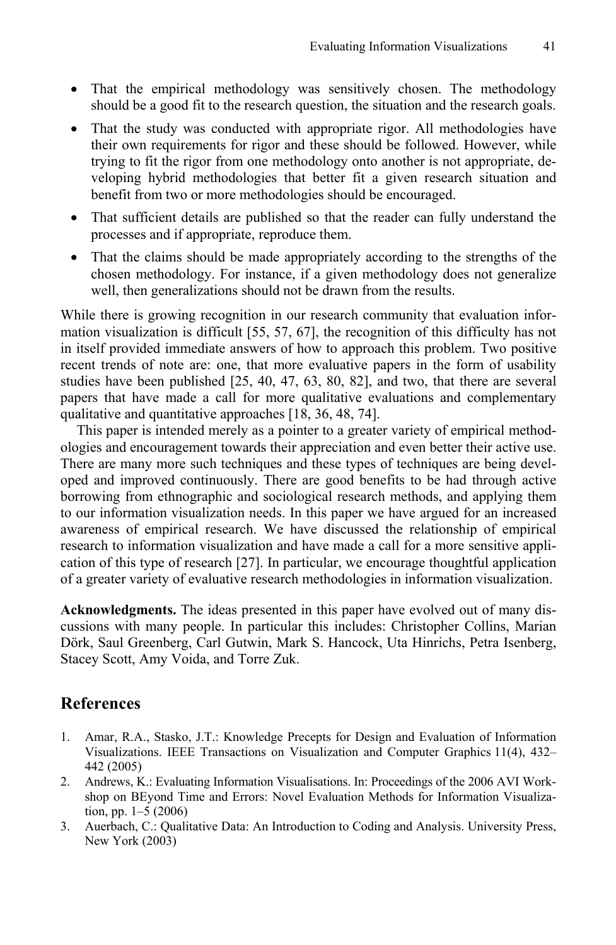- That the empirical methodology was sensitively chosen. The methodology should be a good fit to the research question, the situation and the research goals.
- That the study was conducted with appropriate rigor. All methodologies have their own requirements for rigor and these should be followed. However, while trying to fit the rigor from one methodology onto another is not appropriate, developing hybrid methodologies that better fit a given research situation and benefit from two or more methodologies should be encouraged.
- That sufficient details are published so that the reader can fully understand the processes and if appropriate, reproduce them.
- That the claims should be made appropriately according to the strengths of the chosen methodology. For instance, if a given methodology does not generalize well, then generalizations should not be drawn from the results.

While there is growing recognition in our research community that evaluation information visualization is difficult [55, 57, 67], the recognition of this difficulty has not in itself provided immediate answers of how to approach this problem. Two positive recent trends of note are: one, that more evaluative papers in the form of usability studies have been published [25, 40, 47, 63, 80, 82], and two, that there are several papers that have made a call for more qualitative evaluations and complementary qualitative and quantitative approaches [18, 36, 48, 74].

This paper is intended merely as a pointer to a greater variety of empirical methodologies and encouragement towards their appreciation and even better their active use. There are many more such techniques and these types of techniques are being developed and improved continuously. There are good benefits to be had through active borrowing from ethnographic and sociological research methods, and applying them to our information visualization needs. In this paper we have argued for an increased awareness of empirical research. We have discussed the relationship of empirical research to information visualization and have made a call for a more sensitive application of this type of research [27]. In particular, we encourage thoughtful application of a greater variety of evaluative research methodologies in information visualization.

**Acknowledgments.** The ideas presented in this paper have evolved out of many discussions with many people. In particular this includes: Christopher Collins, Marian Dörk, Saul Greenberg, Carl Gutwin, Mark S. Hancock, Uta Hinrichs, Petra Isenberg, Stacey Scott, Amy Voida, and Torre Zuk.

## **References**

- 1. Amar, R.A., Stasko, J.T.: Knowledge Precepts for Design and Evaluation of Information Visualizations. IEEE Transactions on Visualization and Computer Graphics 11(4), 432– 442 (2005)
- 2. Andrews, K.: Evaluating Information Visualisations. In: Proceedings of the 2006 AVI Workshop on BEyond Time and Errors: Novel Evaluation Methods for Information Visualization, pp. 1–5 (2006)
- 3. Auerbach, C.: Qualitative Data: An Introduction to Coding and Analysis. University Press, New York (2003)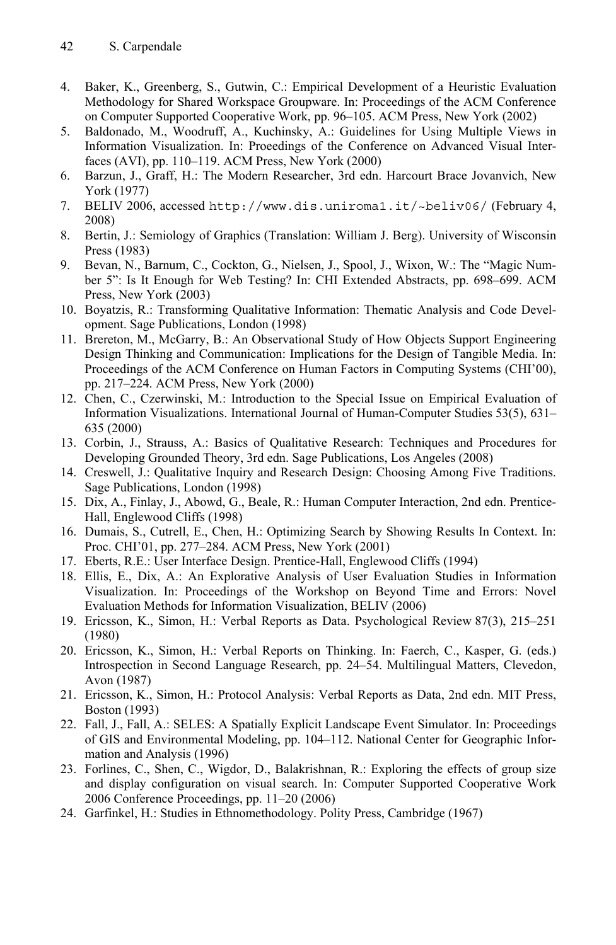- 4. Baker, K., Greenberg, S., Gutwin, C.: Empirical Development of a Heuristic Evaluation Methodology for Shared Workspace Groupware. In: Proceedings of the ACM Conference on Computer Supported Cooperative Work, pp. 96–105. ACM Press, New York (2002)
- 5. Baldonado, M., Woodruff, A., Kuchinsky, A.: Guidelines for Using Multiple Views in Information Visualization. In: Proeedings of the Conference on Advanced Visual Interfaces (AVI), pp. 110–119. ACM Press, New York (2000)
- 6. Barzun, J., Graff, H.: The Modern Researcher, 3rd edn. Harcourt Brace Jovanvich, New York (1977)
- 7. BELIV 2006, accessed http://www.dis.uniroma1.it/~beliv06/ (February 4, 2008)
- 8. Bertin, J.: Semiology of Graphics (Translation: William J. Berg). University of Wisconsin Press (1983)
- 9. Bevan, N., Barnum, C., Cockton, G., Nielsen, J., Spool, J., Wixon, W.: The "Magic Number 5": Is It Enough for Web Testing? In: CHI Extended Abstracts, pp. 698–699. ACM Press, New York (2003)
- 10. Boyatzis, R.: Transforming Qualitative Information: Thematic Analysis and Code Development. Sage Publications, London (1998)
- 11. Brereton, M., McGarry, B.: An Observational Study of How Objects Support Engineering Design Thinking and Communication: Implications for the Design of Tangible Media. In: Proceedings of the ACM Conference on Human Factors in Computing Systems (CHI'00), pp. 217–224. ACM Press, New York (2000)
- 12. Chen, C., Czerwinski, M.: Introduction to the Special Issue on Empirical Evaluation of Information Visualizations. International Journal of Human-Computer Studies 53(5), 631– 635 (2000)
- 13. Corbin, J., Strauss, A.: Basics of Qualitative Research: Techniques and Procedures for Developing Grounded Theory, 3rd edn. Sage Publications, Los Angeles (2008)
- 14. Creswell, J.: Qualitative Inquiry and Research Design: Choosing Among Five Traditions. Sage Publications, London (1998)
- 15. Dix, A., Finlay, J., Abowd, G., Beale, R.: Human Computer Interaction, 2nd edn. Prentice-Hall, Englewood Cliffs (1998)
- 16. Dumais, S., Cutrell, E., Chen, H.: Optimizing Search by Showing Results In Context. In: Proc. CHI'01, pp. 277–284. ACM Press, New York (2001)
- 17. Eberts, R.E.: User Interface Design. Prentice-Hall, Englewood Cliffs (1994)
- 18. Ellis, E., Dix, A.: An Explorative Analysis of User Evaluation Studies in Information Visualization. In: Proceedings of the Workshop on Beyond Time and Errors: Novel Evaluation Methods for Information Visualization, BELIV (2006)
- 19. Ericsson, K., Simon, H.: Verbal Reports as Data. Psychological Review 87(3), 215–251 (1980)
- 20. Ericsson, K., Simon, H.: Verbal Reports on Thinking. In: Faerch, C., Kasper, G. (eds.) Introspection in Second Language Research, pp. 24–54. Multilingual Matters, Clevedon, Avon (1987)
- 21. Ericsson, K., Simon, H.: Protocol Analysis: Verbal Reports as Data, 2nd edn. MIT Press, Boston (1993)
- 22. Fall, J., Fall, A.: SELES: A Spatially Explicit Landscape Event Simulator. In: Proceedings of GIS and Environmental Modeling, pp. 104–112. National Center for Geographic Information and Analysis (1996)
- 23. Forlines, C., Shen, C., Wigdor, D., Balakrishnan, R.: Exploring the effects of group size and display configuration on visual search. In: Computer Supported Cooperative Work 2006 Conference Proceedings, pp. 11–20 (2006)
- 24. Garfinkel, H.: Studies in Ethnomethodology. Polity Press, Cambridge (1967)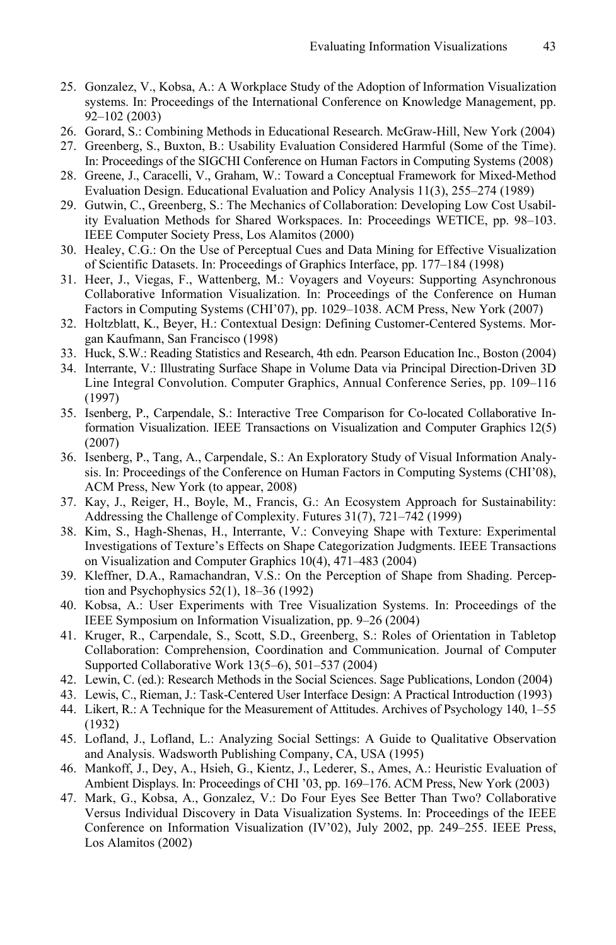- 25. Gonzalez, V., Kobsa, A.: A Workplace Study of the Adoption of Information Visualization systems. In: Proceedings of the International Conference on Knowledge Management, pp. 92–102 (2003)
- 26. Gorard, S.: Combining Methods in Educational Research. McGraw-Hill, New York (2004)
- 27. Greenberg, S., Buxton, B.: Usability Evaluation Considered Harmful (Some of the Time). In: Proceedings of the SIGCHI Conference on Human Factors in Computing Systems (2008)
- 28. Greene, J., Caracelli, V., Graham, W.: Toward a Conceptual Framework for Mixed-Method Evaluation Design. Educational Evaluation and Policy Analysis 11(3), 255–274 (1989)
- 29. Gutwin, C., Greenberg, S.: The Mechanics of Collaboration: Developing Low Cost Usability Evaluation Methods for Shared Workspaces. In: Proceedings WETICE, pp. 98–103. IEEE Computer Society Press, Los Alamitos (2000)
- 30. Healey, C.G.: On the Use of Perceptual Cues and Data Mining for Effective Visualization of Scientific Datasets. In: Proceedings of Graphics Interface, pp. 177–184 (1998)
- 31. Heer, J., Viegas, F., Wattenberg, M.: Voyagers and Voyeurs: Supporting Asynchronous Collaborative Information Visualization. In: Proceedings of the Conference on Human Factors in Computing Systems (CHI'07), pp. 1029–1038. ACM Press, New York (2007)
- 32. Holtzblatt, K., Beyer, H.: Contextual Design: Defining Customer-Centered Systems. Morgan Kaufmann, San Francisco (1998)
- 33. Huck, S.W.: Reading Statistics and Research, 4th edn. Pearson Education Inc., Boston (2004)
- 34. Interrante, V.: Illustrating Surface Shape in Volume Data via Principal Direction-Driven 3D Line Integral Convolution. Computer Graphics, Annual Conference Series, pp. 109–116 (1997)
- 35. Isenberg, P., Carpendale, S.: Interactive Tree Comparison for Co-located Collaborative Information Visualization. IEEE Transactions on Visualization and Computer Graphics 12(5) (2007)
- 36. Isenberg, P., Tang, A., Carpendale, S.: An Exploratory Study of Visual Information Analysis. In: Proceedings of the Conference on Human Factors in Computing Systems (CHI'08), ACM Press, New York (to appear, 2008)
- 37. Kay, J., Reiger, H., Boyle, M., Francis, G.: An Ecosystem Approach for Sustainability: Addressing the Challenge of Complexity. Futures 31(7), 721–742 (1999)
- 38. Kim, S., Hagh-Shenas, H., Interrante, V.: Conveying Shape with Texture: Experimental Investigations of Texture's Effects on Shape Categorization Judgments. IEEE Transactions on Visualization and Computer Graphics 10(4), 471–483 (2004)
- 39. Kleffner, D.A., Ramachandran, V.S.: On the Perception of Shape from Shading. Perception and Psychophysics 52(1), 18–36 (1992)
- 40. Kobsa, A.: User Experiments with Tree Visualization Systems. In: Proceedings of the IEEE Symposium on Information Visualization, pp. 9–26 (2004)
- 41. Kruger, R., Carpendale, S., Scott, S.D., Greenberg, S.: Roles of Orientation in Tabletop Collaboration: Comprehension, Coordination and Communication. Journal of Computer Supported Collaborative Work 13(5–6), 501–537 (2004)
- 42. Lewin, C. (ed.): Research Methods in the Social Sciences. Sage Publications, London (2004)
- 43. Lewis, C., Rieman, J.: Task-Centered User Interface Design: A Practical Introduction (1993)
- 44. Likert, R.: A Technique for the Measurement of Attitudes. Archives of Psychology 140, 1–55 (1932)
- 45. Lofland, J., Lofland, L.: Analyzing Social Settings: A Guide to Qualitative Observation and Analysis. Wadsworth Publishing Company, CA, USA (1995)
- 46. Mankoff, J., Dey, A., Hsieh, G., Kientz, J., Lederer, S., Ames, A.: Heuristic Evaluation of Ambient Displays. In: Proceedings of CHI '03, pp. 169–176. ACM Press, New York (2003)
- 47. Mark, G., Kobsa, A., Gonzalez, V.: Do Four Eyes See Better Than Two? Collaborative Versus Individual Discovery in Data Visualization Systems. In: Proceedings of the IEEE Conference on Information Visualization (IV'02), July 2002, pp. 249–255. IEEE Press, Los Alamitos (2002)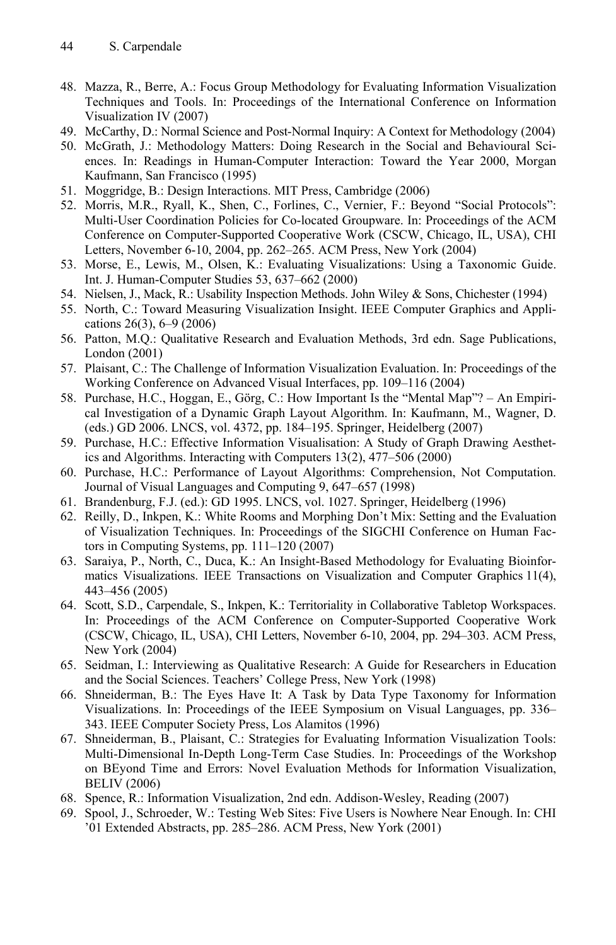- 48. Mazza, R., Berre, A.: Focus Group Methodology for Evaluating Information Visualization Techniques and Tools. In: Proceedings of the International Conference on Information Visualization IV (2007)
- 49. McCarthy, D.: Normal Science and Post-Normal Inquiry: A Context for Methodology (2004)
- 50. McGrath, J.: Methodology Matters: Doing Research in the Social and Behavioural Sciences. In: Readings in Human-Computer Interaction: Toward the Year 2000, Morgan Kaufmann, San Francisco (1995)
- 51. Moggridge, B.: Design Interactions. MIT Press, Cambridge (2006)
- 52. Morris, M.R., Ryall, K., Shen, C., Forlines, C., Vernier, F.: Beyond "Social Protocols": Multi-User Coordination Policies for Co-located Groupware. In: Proceedings of the ACM Conference on Computer-Supported Cooperative Work (CSCW, Chicago, IL, USA), CHI Letters, November 6-10, 2004, pp. 262–265. ACM Press, New York (2004)
- 53. Morse, E., Lewis, M., Olsen, K.: Evaluating Visualizations: Using a Taxonomic Guide. Int. J. Human-Computer Studies 53, 637–662 (2000)
- 54. Nielsen, J., Mack, R.: Usability Inspection Methods. John Wiley & Sons, Chichester (1994)
- 55. North, C.: Toward Measuring Visualization Insight. IEEE Computer Graphics and Applications 26(3), 6–9 (2006)
- 56. Patton, M.Q.: Qualitative Research and Evaluation Methods, 3rd edn. Sage Publications, London (2001)
- 57. Plaisant, C.: The Challenge of Information Visualization Evaluation. In: Proceedings of the Working Conference on Advanced Visual Interfaces, pp. 109–116 (2004)
- 58. Purchase, H.C., Hoggan, E., Görg, C.: How Important Is the "Mental Map"? An Empirical Investigation of a Dynamic Graph Layout Algorithm. In: Kaufmann, M., Wagner, D. (eds.) GD 2006. LNCS, vol. 4372, pp. 184–195. Springer, Heidelberg (2007)
- 59. Purchase, H.C.: Effective Information Visualisation: A Study of Graph Drawing Aesthetics and Algorithms. Interacting with Computers 13(2), 477–506 (2000)
- 60. Purchase, H.C.: Performance of Layout Algorithms: Comprehension, Not Computation. Journal of Visual Languages and Computing 9, 647–657 (1998)
- 61. Brandenburg, F.J. (ed.): GD 1995. LNCS, vol. 1027. Springer, Heidelberg (1996)
- 62. Reilly, D., Inkpen, K.: White Rooms and Morphing Don't Mix: Setting and the Evaluation of Visualization Techniques. In: Proceedings of the SIGCHI Conference on Human Factors in Computing Systems, pp. 111–120 (2007)
- 63. Saraiya, P., North, C., Duca, K.: An Insight-Based Methodology for Evaluating Bioinformatics Visualizations. IEEE Transactions on Visualization and Computer Graphics 11(4), 443–456 (2005)
- 64. Scott, S.D., Carpendale, S., Inkpen, K.: Territoriality in Collaborative Tabletop Workspaces. In: Proceedings of the ACM Conference on Computer-Supported Cooperative Work (CSCW, Chicago, IL, USA), CHI Letters, November 6-10, 2004, pp. 294–303. ACM Press, New York (2004)
- 65. Seidman, I.: Interviewing as Qualitative Research: A Guide for Researchers in Education and the Social Sciences. Teachers' College Press, New York (1998)
- 66. Shneiderman, B.: The Eyes Have It: A Task by Data Type Taxonomy for Information Visualizations. In: Proceedings of the IEEE Symposium on Visual Languages, pp. 336– 343. IEEE Computer Society Press, Los Alamitos (1996)
- 67. Shneiderman, B., Plaisant, C.: Strategies for Evaluating Information Visualization Tools: Multi-Dimensional In-Depth Long-Term Case Studies. In: Proceedings of the Workshop on BEyond Time and Errors: Novel Evaluation Methods for Information Visualization, BELIV (2006)
- 68. Spence, R.: Information Visualization, 2nd edn. Addison-Wesley, Reading (2007)
- 69. Spool, J., Schroeder, W.: Testing Web Sites: Five Users is Nowhere Near Enough. In: CHI '01 Extended Abstracts, pp. 285–286. ACM Press, New York (2001)